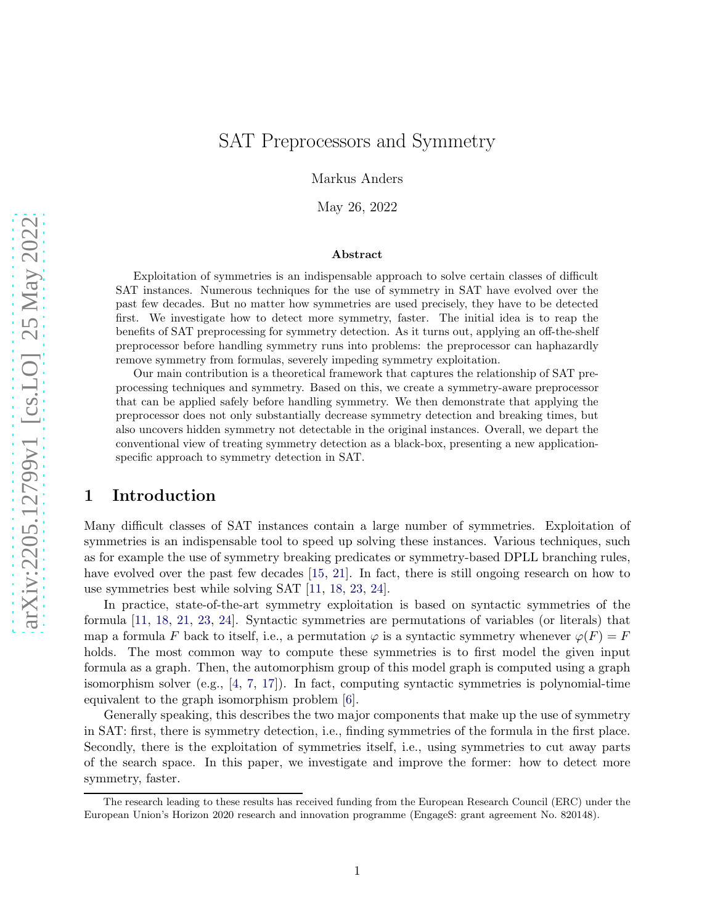# SAT Preprocessors and Symmetry

Markus Anders

May 26, 2022

#### Abstract

Exploitation of symmetries is an indispensable approach to solve certain classes of difficult SAT instances. Numerous techniques for the use of symmetry in SAT have evolved over the past few decades. But no matter how symmetries are used precisely, they have to be detected first. We investigate how to detect more symmetry, faster. The initial idea is to reap the benefits of SAT preprocessing for symmetry detection. As it turns out, applying an off-the-shelf preprocessor before handling symmetry runs into problems: the preprocessor can haphazardly remove symmetry from formulas, severely impeding symmetry exploitation.

Our main contribution is a theoretical framework that captures the relationship of SAT preprocessing techniques and symmetry. Based on this, we create a symmetry-aware preprocessor that can be applied safely before handling symmetry. We then demonstrate that applying the preprocessor does not only substantially decrease symmetry detection and breaking times, but also uncovers hidden symmetry not detectable in the original instances. Overall, we depart the conventional view of treating symmetry detection as a black-box, presenting a new applicationspecific approach to symmetry detection in SAT.

# 1 Introduction

Many difficult classes of SAT instances contain a large number of symmetries. Exploitation of symmetries is an indispensable tool to speed up solving these instances. Various techniques, such as for example the use of symmetry breaking predicates or symmetry-based DPLL branching rules, have evolved over the past few decades [15, 21]. In fact, there is still ongoing research on how to use symmetries best while solving SAT [11, 18, 23, 24].

In practice, state-of-the-art symmetry exploitation is based on syntactic symmetries of the formula [11, 18, 21, 23, 24]. Syntactic symmetries are permutations of variables (or literals) that map a formula F back to itself, i.e., a permutation  $\varphi$  is a syntactic symmetry whenever  $\varphi(F) = F$ holds. The most common way to compute these symmetries is to first model the given input formula as a graph. Then, the automorphism group of this model graph is computed using a graph isomorphism solver (e.g.,  $[4, 7, 17]$  $[4, 7, 17]$  $[4, 7, 17]$ ). In fact, computing syntactic symmetries is polynomial-time equivalent to the graph isomorphism problem [\[6\]](#page-17-1).

Generally speaking, this describes the two major components that make up the use of symmetry in SAT: first, there is symmetry detection, i.e., finding symmetries of the formula in the first place. Secondly, there is the exploitation of symmetries itself, i.e., using symmetries to cut away parts of the search space. In this paper, we investigate and improve the former: how to detect more symmetry, faster.

<span id="page-0-0"></span>The research leading to these results has received funding from the European Research Council (ERC) under the European Union's Horizon 2020 research and innovation programme (EngageS: grant agreement No. 820148).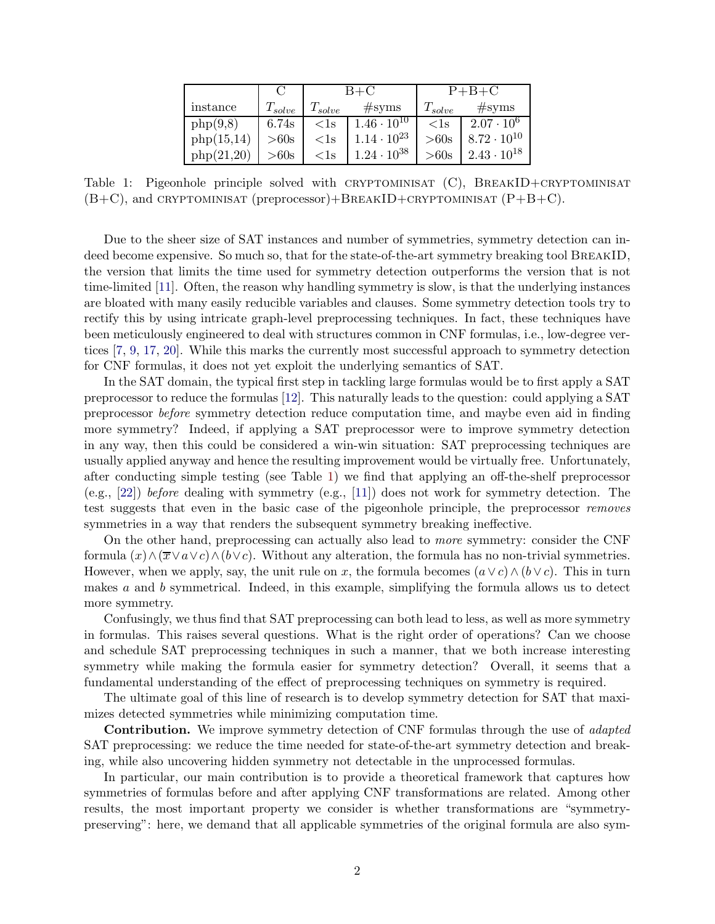<span id="page-1-0"></span>

|            |             | $B+C$       |                      | $P + B + C$  |                      |
|------------|-------------|-------------|----------------------|--------------|----------------------|
| instance   | $T_{solve}$ | $T_{solve}$ | #syms                | $T_{solve}$  | #syms                |
| php(9,8)   | 6.74s       | $<$ ls      | $1.46 \cdot 10^{10}$ | $\langle$ 1s | $2.07 \cdot 10^{6}$  |
| php(15,14) | >60s        | $<$ ls      | $1.14 \cdot 10^{23}$ | >60s         | $8.72 \cdot 10^{10}$ |
| php(21,20) | >60s        | $<$ ls      | $1.24 \cdot 10^{38}$ | >60s         | $2.43 \cdot 10^{18}$ |

Table 1: Pigeonhole principle solved with CRYPTOMINISAT  $(C)$ , BREAKID+CRYPTOMINISAT  $(B+C)$ , and CRYPTOMINISAT (preprocessor)+BREAKID+CRYPTOMINISAT  $(P+B+C)$ .

Due to the sheer size of SAT instances and number of symmetries, symmetry detection can indeed become expensive. So much so, that for the state-of-the-art symmetry breaking tool BREAKID, the version that limits the time used for symmetry detection outperforms the version that is not time-limited [11]. Often, the reason why handling symmetry is slow, is that the underlying instances are bloated with many easily reducible variables and clauses. Some symmetry detection tools try to rectify this by using intricate graph-level preprocessing techniques. In fact, these techniques have been meticulously engineered to deal with structures common in CNF formulas, i.e., low-degree vertices [7, 9, [17,](#page-17-0) 20]. While this marks the currently most successful approach to symmetry detection for CNF formulas, it does not yet exploit the underlying semantics of SAT.

In the SAT domain, the typical first step in tackling large formulas would be to first apply a SAT preprocessor to reduce the formulas [12]. This naturally leads to the question: could applying a SAT preprocessor before symmetry detection reduce computation time, and maybe even aid in finding more symmetry? Indeed, if applying a SAT preprocessor were to improve symmetry detection in any way, then this could be considered a win-win situation: SAT preprocessing techniques are usually applied anyway and hence the resulting improvement would be virtually free. Unfortunately, after conducting simple testing (see Table [1\)](#page-1-0) we find that applying an off-the-shelf preprocessor (e.g., [22]) before dealing with symmetry (e.g., [11]) does not work for symmetry detection. The test suggests that even in the basic case of the pigeonhole principle, the preprocessor removes symmetries in a way that renders the subsequent symmetry breaking ineffective.

On the other hand, preprocessing can actually also lead to more symmetry: consider the CNF formula  $(x) \wedge (\overline{x} \vee a \vee c) \wedge (b \vee c)$ . Without any alteration, the formula has no non-trivial symmetries. However, when we apply, say, the unit rule on x, the formula becomes  $(a \vee c) \wedge (b \vee c)$ . This in turn makes a and b symmetrical. Indeed, in this example, simplifying the formula allows us to detect more symmetry.

Confusingly, we thus find that SAT preprocessing can both lead to less, as well as more symmetry in formulas. This raises several questions. What is the right order of operations? Can we choose and schedule SAT preprocessing techniques in such a manner, that we both increase interesting symmetry while making the formula easier for symmetry detection? Overall, it seems that a fundamental understanding of the effect of preprocessing techniques on symmetry is required.

The ultimate goal of this line of research is to develop symmetry detection for SAT that maximizes detected symmetries while minimizing computation time.

Contribution. We improve symmetry detection of CNF formulas through the use of *adapted* SAT preprocessing: we reduce the time needed for state-of-the-art symmetry detection and breaking, while also uncovering hidden symmetry not detectable in the unprocessed formulas.

In particular, our main contribution is to provide a theoretical framework that captures how symmetries of formulas before and after applying CNF transformations are related. Among other results, the most important property we consider is whether transformations are "symmetrypreserving": here, we demand that all applicable symmetries of the original formula are also sym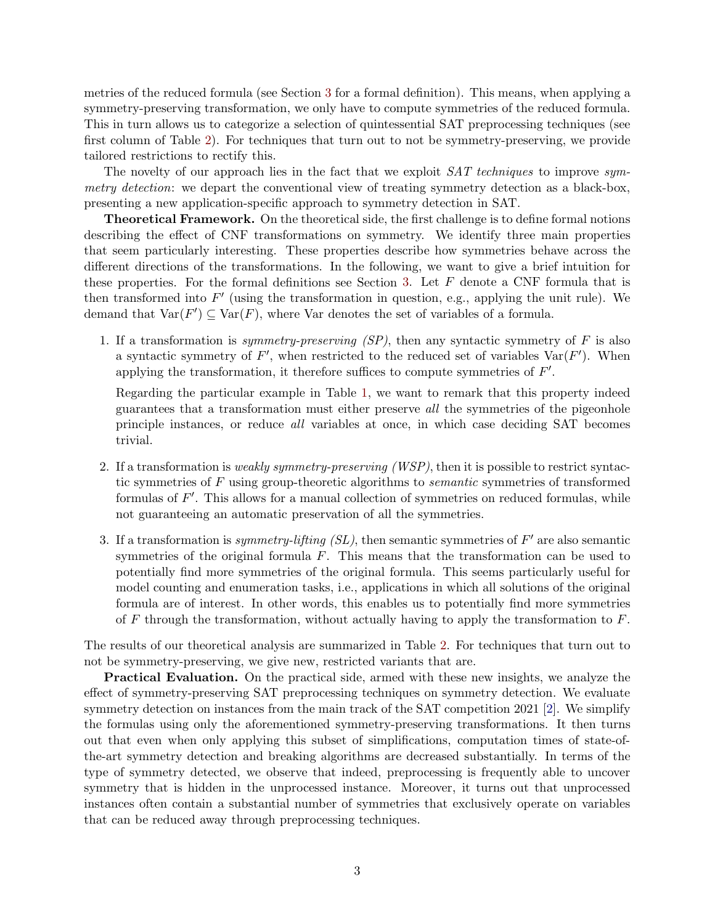metries of the reduced formula (see Section [3](#page-5-0) for a formal definition). This means, when applying a symmetry-preserving transformation, we only have to compute symmetries of the reduced formula. This in turn allows us to categorize a selection of quintessential SAT preprocessing techniques (see first column of Table [2\)](#page-3-0). For techniques that turn out to not be symmetry-preserving, we provide tailored restrictions to rectify this.

The novelty of our approach lies in the fact that we exploit SAT techniques to improve symmetry detection: we depart the conventional view of treating symmetry detection as a black-box, presenting a new application-specific approach to symmetry detection in SAT.

Theoretical Framework. On the theoretical side, the first challenge is to define formal notions describing the effect of CNF transformations on symmetry. We identify three main properties that seem particularly interesting. These properties describe how symmetries behave across the different directions of the transformations. In the following, we want to give a brief intuition for these properties. For the formal definitions see Section [3.](#page-5-0) Let  $F$  denote a CNF formula that is then transformed into  $F'$  (using the transformation in question, e.g., applying the unit rule). We demand that  $Var(F') \subseteq Var(F)$ , where Var denotes the set of variables of a formula.

1. If a transformation is symmetry-preserving  $(SP)$ , then any syntactic symmetry of F is also a syntactic symmetry of  $F'$ , when restricted to the reduced set of variables  $Var(F')$ . When applying the transformation, it therefore suffices to compute symmetries of  $F'$ .

Regarding the particular example in Table [1,](#page-1-0) we want to remark that this property indeed guarantees that a transformation must either preserve all the symmetries of the pigeonhole principle instances, or reduce all variables at once, in which case deciding SAT becomes trivial.

- 2. If a transformation is *weakly symmetry-preserving (WSP)*, then it is possible to restrict syntactic symmetries of F using group-theoretic algorithms to semantic symmetries of transformed formulas of  $F'$ . This allows for a manual collection of symmetries on reduced formulas, while not guaranteeing an automatic preservation of all the symmetries.
- 3. If a transformation is *symmetry-lifting (SL)*, then semantic symmetries of  $F'$  are also semantic symmetries of the original formula  $F$ . This means that the transformation can be used to potentially find more symmetries of the original formula. This seems particularly useful for model counting and enumeration tasks, i.e., applications in which all solutions of the original formula are of interest. In other words, this enables us to potentially find more symmetries of F through the transformation, without actually having to apply the transformation to  $F$ .

The results of our theoretical analysis are summarized in Table [2.](#page-3-0) For techniques that turn out to not be symmetry-preserving, we give new, restricted variants that are.

Practical Evaluation. On the practical side, armed with these new insights, we analyze the effect of symmetry-preserving SAT preprocessing techniques on symmetry detection. We evaluate symmetry detection on instances from the main track of the SAT competition 2021 [\[2\]](#page-16-0). We simplify the formulas using only the aforementioned symmetry-preserving transformations. It then turns out that even when only applying this subset of simplifications, computation times of state-ofthe-art symmetry detection and breaking algorithms are decreased substantially. In terms of the type of symmetry detected, we observe that indeed, preprocessing is frequently able to uncover symmetry that is hidden in the unprocessed instance. Moreover, it turns out that unprocessed instances often contain a substantial number of symmetries that exclusively operate on variables that can be reduced away through preprocessing techniques.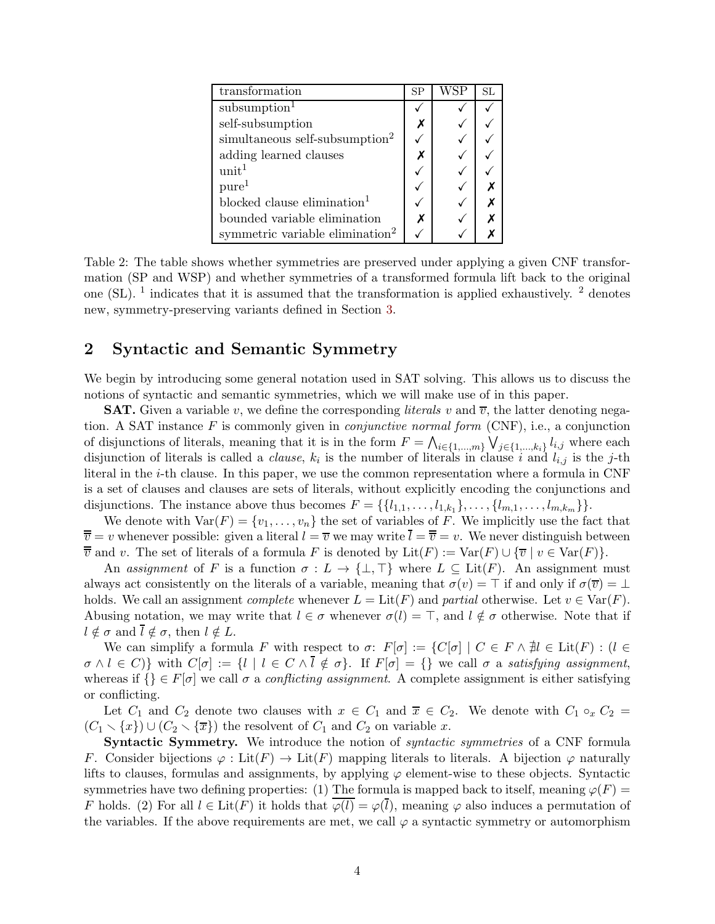<span id="page-3-0"></span>

| transformation                              | <b>SP</b> | WSP | SL |
|---------------------------------------------|-----------|-----|----|
| subsumption <sup>1</sup>                    |           |     |    |
| self-subsumption                            |           |     |    |
| simultaneous self-subsumption <sup>2</sup>  |           |     |    |
| adding learned clauses                      |           |     |    |
| unit <sup>1</sup>                           |           |     |    |
| pure <sup>1</sup>                           |           |     |    |
| blocked clause elimination <sup>1</sup>     |           |     |    |
| bounded variable elimination                |           |     |    |
| symmetric variable elimination <sup>2</sup> |           |     |    |

Table 2: The table shows whether symmetries are preserved under applying a given CNF transformation (SP and WSP) and whether symmetries of a transformed formula lift back to the original one (SL). <sup>1</sup> indicates that it is assumed that the transformation is applied exhaustively. <sup>2</sup> denotes new, symmetry-preserving variants defined in Section [3.](#page-5-0)

# 2 Syntactic and Semantic Symmetry

We begin by introducing some general notation used in SAT solving. This allows us to discuss the notions of syntactic and semantic symmetries, which we will make use of in this paper.

**SAT.** Given a variable v, we define the corresponding *literals* v and  $\overline{v}$ , the latter denoting negation. A SAT instance  $F$  is commonly given in *conjunctive normal form* (CNF), i.e., a conjunction of disjunctions of literals, meaning that it is in the form  $F = \bigwedge_{i \in \{1,...,m\}} \bigvee_{j \in \{1,...,k_i\}} l_{i,j}$  where each disjunction of literals is called a *clause*,  $k_i$  is the number of literals in clause i and  $l_{i,j}$  is the j-th literal in the i-th clause. In this paper, we use the common representation where a formula in CNF is a set of clauses and clauses are sets of literals, without explicitly encoding the conjunctions and disjunctions. The instance above thus becomes  $F = \{\{l_{1,1}, \ldots, l_{1,k_1}\}, \ldots, \{l_{m,1}, \ldots, l_{m,k_m}\}\}.$ 

We denote with  $Var(F) = \{v_1, \ldots, v_n\}$  the set of variables of F. We implicitly use the fact that  $\overline{\overline{v}} = v$  whenever possible: given a literal  $l = \overline{v}$  we may write  $\overline{l} = \overline{v} = v$ . We never distinguish between  $\overline{\overline{v}}$  and v. The set of literals of a formula F is denoted by  $\mathrm{Lit}(F) := \mathrm{Var}(F) \cup \{\overline{v} \mid v \in \mathrm{Var}(F)\}.$ 

An assignment of F is a function  $\sigma: L \to {\{\perp}, \top\}$  where  $L \subseteq \text{Lit}(F)$ . An assignment must always act consistently on the literals of a variable, meaning that  $\sigma(v) = \top$  if and only if  $\sigma(\overline{v}) = \bot$ holds. We call an assignment *complete* whenever  $L = \text{Lit}(F)$  and *partial* otherwise. Let  $v \in \text{Var}(F)$ . Abusing notation, we may write that  $l \in \sigma$  whenever  $\sigma(l) = \top$ , and  $l \notin \sigma$  otherwise. Note that if  $l \notin \sigma$  and  $\overline{l} \notin \sigma$ , then  $l \notin L$ .

We can simplify a formula F with respect to  $\sigma: F[\sigma] := \{C[\sigma] \mid C \in F \land \nexists l \in \text{Lit}(F) : (l \in \text{本} \land \text{ext} \land \text{ext} \land \text{ext} \land \text{ext} \land \text{ext} \land \text{ext} \land \text{ext} \}$  $\sigma \wedge l \in C$ } with  $C[\sigma] := \{l \mid l \in C \wedge \overline{l} \notin \sigma\}$ . If  $F[\sigma] = \{\}$  we call  $\sigma$  a satisfying assignment, whereas if  $\{\}\in F[\sigma]$  we call  $\sigma$  a *conflicting assignment*. A complete assignment is either satisfying or conflicting.

Let  $C_1$  and  $C_2$  denote two clauses with  $x \in C_1$  and  $\overline{x} \in C_2$ . We denote with  $C_1 \circ_x C_2 =$  $(C_1 \setminus \{x\}) \cup (C_2 \setminus \{\overline{x}\})$  the resolvent of  $C_1$  and  $C_2$  on variable x.

**Syntactic Symmetry.** We introduce the notion of *syntactic symmetries* of a CNF formula F. Consider bijections  $\varphi : \text{Lit}(F) \to \text{Lit}(F)$  mapping literals to literals. A bijection  $\varphi$  naturally lifts to clauses, formulas and assignments, by applying  $\varphi$  element-wise to these objects. Syntactic symmetries have two defining properties: (1) The formula is mapped back to itself, meaning  $\varphi(F)$ F holds. (2) For all  $l \in \text{Lit}(F)$  it holds that  $\varphi(l) = \varphi(\bar{l})$ , meaning  $\varphi$  also induces a permutation of the variables. If the above requirements are met, we call  $\varphi$  a syntactic symmetry or automorphism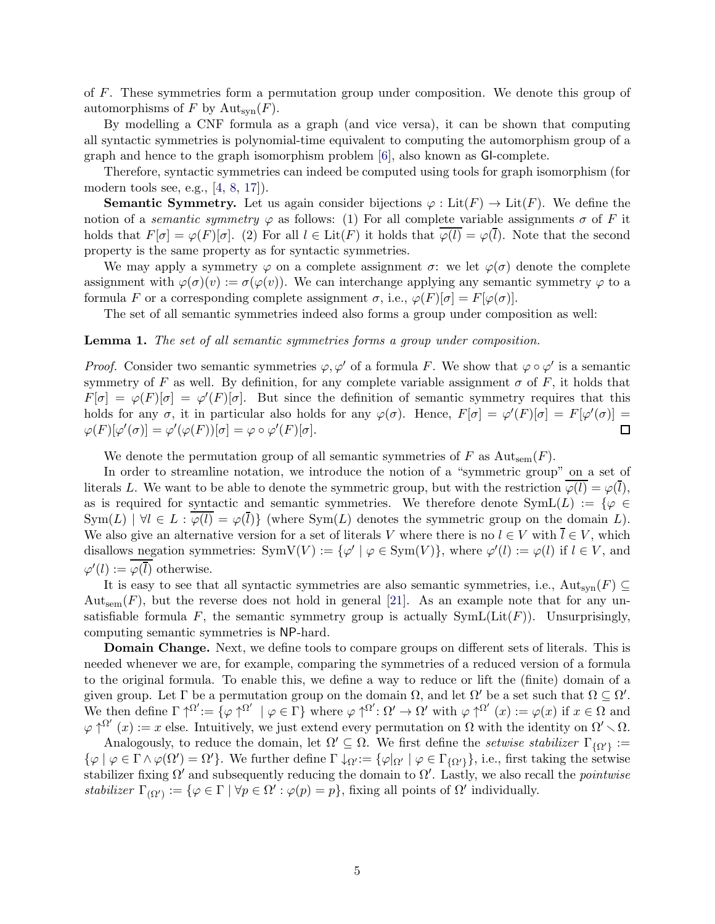of F. These symmetries form a permutation group under composition. We denote this group of automorphisms of F by  $\mathrm{Aut}_{syn}(F)$ .

By modelling a CNF formula as a graph (and vice versa), it can be shown that computing all syntactic symmetries is polynomial-time equivalent to computing the automorphism group of a graph and hence to the graph isomorphism problem [\[6](#page-17-1)], also known as GI-complete.

Therefore, syntactic symmetries can indeed be computed using tools for graph isomorphism (for modern tools see, e.g., [4, [8](#page-17-2), [17](#page-17-0)]).

**Semantic Symmetry.** Let us again consider bijections  $\varphi : \text{Lit}(F) \to \text{Lit}(F)$ . We define the notion of a *semantic symmetry*  $\varphi$  as follows: (1) For all complete variable assignments  $\sigma$  of F it holds that  $F[\sigma] = \varphi(F)[\sigma]$ . (2) For all  $l \in \text{Lit}(F)$  it holds that  $\overline{\varphi(l)} = \varphi(\overline{l})$ . Note that the second property is the same property as for syntactic symmetries.

We may apply a symmetry  $\varphi$  on a complete assignment  $\sigma$ : we let  $\varphi(\sigma)$  denote the complete assignment with  $\varphi(\sigma)(v) := \sigma(\varphi(v))$ . We can interchange applying any semantic symmetry  $\varphi$  to a formula F or a corresponding complete assignment  $\sigma$ , i.e.,  $\varphi(F)[\sigma] = F[\varphi(\sigma)]$ .

The set of all semantic symmetries indeed also forms a group under composition as well:

#### **Lemma 1.** The set of all semantic symmetries forms a group under composition.

*Proof.* Consider two semantic symmetries  $\varphi, \varphi'$  of a formula F. We show that  $\varphi \circ \varphi'$  is a semantic symmetry of F as well. By definition, for any complete variable assignment  $\sigma$  of F, it holds that  $F[\sigma] = \varphi(F)[\sigma] = \varphi'(F)[\sigma]$ . But since the definition of semantic symmetry requires that this holds for any  $\sigma$ , it in particular also holds for any  $\varphi(\sigma)$ . Hence,  $F[\sigma] = \varphi'(F)[\sigma] = F[\varphi'(\sigma)] =$  $\varphi(F)[\varphi'(\sigma)] = \varphi'(\varphi(F))[\sigma] = \varphi \circ \varphi'(F)[\sigma].$  $\Box$ 

We denote the permutation group of all semantic symmetries of F as  $Aut_{sem}(F)$ .

In order to streamline notation, we introduce the notion of a "symmetric group" on a set of literals L. We want to be able to denote the symmetric group, but with the restriction  $\varphi(l) = \varphi(\bar{l}),$ as is required for syntactic and semantic symmetries. We therefore denote  $\text{SymL}(L) := \{ \varphi \in$  $Sym(L) | \forall l \in L : \overline{\varphi(l)} = \varphi(\overline{l})\}$  (where  $Sym(L)$  denotes the symmetric group on the domain L). We also give an alternative version for a set of literals V where there is no  $l \in V$  with  $\overline{l} \in V$ , which disallows negation symmetries:  $SymV(V) := {\varphi' | \varphi \in Sym(V)},$  where  $\varphi'(l) := \varphi(l)$  if  $l \in V$ , and  $\varphi'(l) := \varphi(\overline{l})$  otherwise.

It is easy to see that all syntactic symmetries are also semantic symmetries, i.e., Aut<sub>syn</sub> $(F) \subseteq$  $Aut_{sem}(F)$ , but the reverse does not hold in general [21]. As an example note that for any unsatisfiable formula F, the semantic symmetry group is actually  $\text{SymL}(\text{Lit}(F))$ . Unsurprisingly, computing semantic symmetries is NP-hard.

Domain Change. Next, we define tools to compare groups on different sets of literals. This is needed whenever we are, for example, comparing the symmetries of a reduced version of a formula to the original formula. To enable this, we define a way to reduce or lift the (finite) domain of a given group. Let  $\Gamma$  be a permutation group on the domain  $\Omega$ , and let  $\Omega'$  be a set such that  $\Omega \subseteq \Omega'$ . We then define  $\Gamma \uparrow^{\Omega'} := {\varphi \uparrow^{\Omega'}} \mid \varphi \in \Gamma$  where  $\varphi \uparrow^{\Omega'} : \Omega' \to \Omega'$  with  $\varphi \uparrow^{\Omega'} (x) := \varphi(x)$  if  $x \in \Omega$  and  $\varphi \uparrow^{\Omega'}(x) := x$  else. Intuitively, we just extend every permutation on  $\Omega$  with the identity on  $\Omega' \setminus \Omega$ .

Analogously, to reduce the domain, let  $\Omega' \subseteq \Omega$ . We first define the setwise stabilizer  $\Gamma_{\{\Omega'\}} :=$  $\{\varphi \mid \varphi \in \Gamma \wedge \varphi(\Omega') = \Omega'\}.$  We further define  $\Gamma \downarrow_{\Omega'} := {\varphi|_{\Omega'}} \mid \varphi \in \Gamma_{\{\Omega'\}}\},$  i.e., first taking the setwise stabilizer fixing  $\Omega'$  and subsequently reducing the domain to  $\Omega'$ . Lastly, we also recall the *pointwise* stabilizer  $\Gamma_{(\Omega')} := \{ \varphi \in \Gamma \mid \forall p \in \Omega' : \varphi(p) = p \}$ , fixing all points of  $\Omega'$  individually.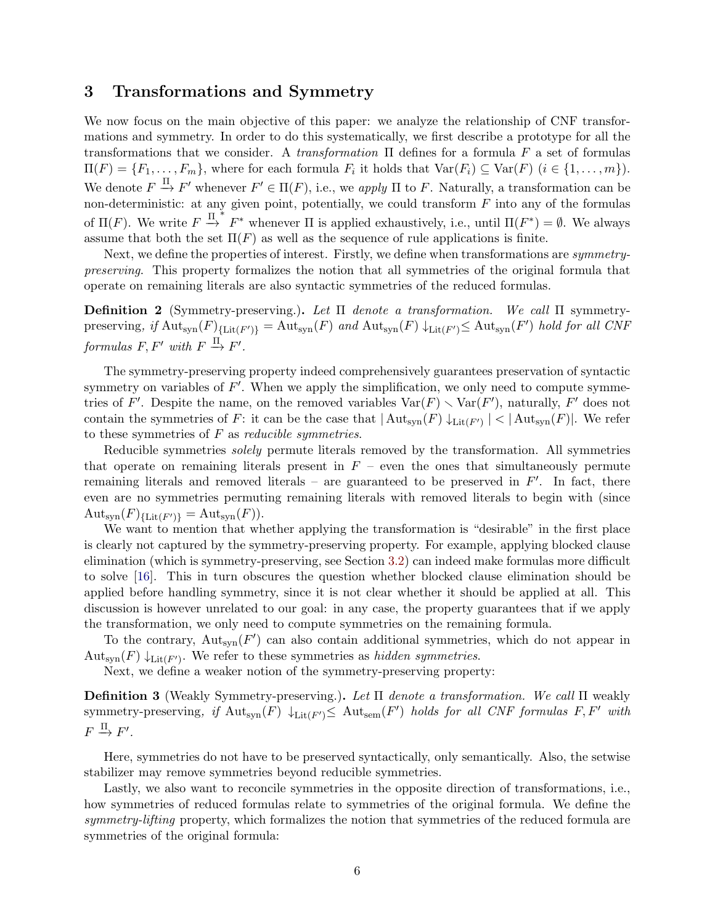# <span id="page-5-0"></span>3 Transformations and Symmetry

We now focus on the main objective of this paper: we analyze the relationship of CNF transformations and symmetry. In order to do this systematically, we first describe a prototype for all the transformations that we consider. A *transformation*  $\Pi$  defines for a formula F a set of formulas  $\Pi(F) = \{F_1, \ldots, F_m\}$ , where for each formula  $F_i$  it holds that  $\text{Var}(F_i) \subseteq \text{Var}(F)$   $(i \in \{1, \ldots, m\})$ . We denote  $F \stackrel{\Pi}{\rightarrow} F'$  whenever  $F' \in \Pi(F)$ , i.e., we apply  $\Pi$  to F. Naturally, a transformation can be non-deterministic: at any given point, potentially, we could transform  $F$  into any of the formulas of  $\Pi(F)$ . We write  $F \stackrel{\Pi^*}{\to} F^*$  whenever  $\Pi$  is applied exhaustively, i.e., until  $\Pi(F^*) = \emptyset$ . We always assume that both the set  $\Pi(F)$  as well as the sequence of rule applications is finite.

Next, we define the properties of interest. Firstly, we define when transformations are *symmetry*preserving. This property formalizes the notion that all symmetries of the original formula that operate on remaining literals are also syntactic symmetries of the reduced formulas.

**Definition 2** (Symmetry-preserving.). Let  $\Pi$  denote a transformation. We call  $\Pi$  symmetrypreserving, if  $\text{Aut}_{syn}(F)_{\{\text{Lit}(F')\}} = \text{Aut}_{syn}(F)$  and  $\text{Aut}_{syn}(F) \downarrow_{\text{Lit}(F')} \leq \text{Aut}_{syn}(F')$  hold for all CNF  $formulas F, F' with F \overset{\Pi}{\rightarrow} F'.$ 

The symmetry-preserving property indeed comprehensively guarantees preservation of syntactic symmetry on variables of  $F'$ . When we apply the simplification, we only need to compute symmetries of F'. Despite the name, on the removed variables  $Var(F) \setminus Var(F')$ , naturally, F' does not contain the symmetries of F: it can be the case that  $|\text{Aut}_{syn}(F) \downarrow_{\text{Lit}(F')}| < |\text{Aut}_{syn}(F)|$ . We refer to these symmetries of  $F$  as *reducible symmetries*.

Reducible symmetries *solely* permute literals removed by the transformation. All symmetries that operate on remaining literals present in  $F$  – even the ones that simultaneously permute remaining literals and removed literals – are guaranteed to be preserved in  $F'$ . In fact, there even are no symmetries permuting remaining literals with removed literals to begin with (since  $\mathrm{Aut}_{\text{syn}}(F)_{\{Lit(F')\}} = \mathrm{Aut}_{\text{syn}}(F)$ .

We want to mention that whether applying the transformation is "desirable" in the first place is clearly not captured by the symmetry-preserving property. For example, applying blocked clause elimination (which is symmetry-preserving, see Section [3.2\)](#page-8-0) can indeed make formulas more difficult to solve [16]. This in turn obscures the question whether blocked clause elimination should be applied before handling symmetry, since it is not clear whether it should be applied at all. This discussion is however unrelated to our goal: in any case, the property guarantees that if we apply the transformation, we only need to compute symmetries on the remaining formula.

To the contrary,  $\text{Aut}_{syn}(F')$  can also contain additional symmetries, which do not appear in  $\mathrm{Aut}_{syn}(F) \downarrow_{\mathrm{Lit}(F')}$ . We refer to these symmetries as hidden symmetries.

Next, we define a weaker notion of the symmetry-preserving property:

Definition 3 (Weakly Symmetry-preserving.). Let Π denote a transformation. We call Π weakly symmetry-preserving, if  ${\rm Aut}_{sym}(F) \downarrow_{\rm Lit}(F') \leq {\rm Aut}_{sem}(F')$  holds for all CNF formulas  $F, F'$  with  $F \stackrel{\Pi}{\rightarrow} F'.$ 

Here, symmetries do not have to be preserved syntactically, only semantically. Also, the setwise stabilizer may remove symmetries beyond reducible symmetries.

Lastly, we also want to reconcile symmetries in the opposite direction of transformations, i.e., how symmetries of reduced formulas relate to symmetries of the original formula. We define the symmetry-lifting property, which formalizes the notion that symmetries of the reduced formula are symmetries of the original formula: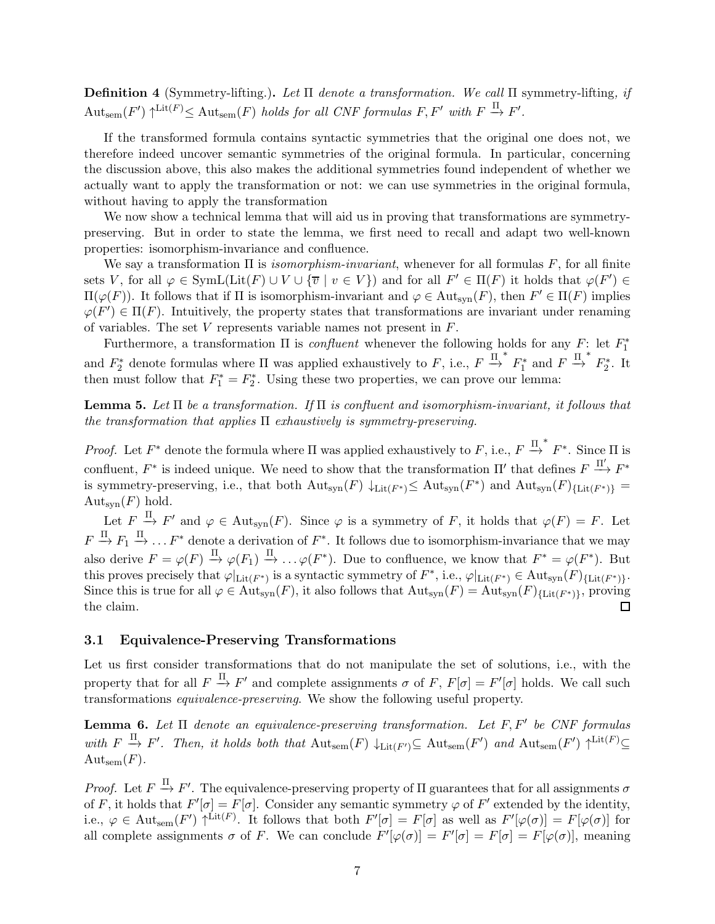**Definition 4** (Symmetry-lifting.). Let  $\Pi$  denote a transformation. We call  $\Pi$  symmetry-lifting, if  $\mathrm{Aut}_{\mathrm{sem}}(F') \uparrow^{\mathrm{Lit}(F)} \leq \mathrm{Aut}_{\mathrm{sem}}(F)$  holds for all CNF formulas  $F, F'$  with  $F \xrightarrow{\Pi} F'.$ 

If the transformed formula contains syntactic symmetries that the original one does not, we therefore indeed uncover semantic symmetries of the original formula. In particular, concerning the discussion above, this also makes the additional symmetries found independent of whether we actually want to apply the transformation or not: we can use symmetries in the original formula, without having to apply the transformation

We now show a technical lemma that will aid us in proving that transformations are symmetrypreserving. But in order to state the lemma, we first need to recall and adapt two well-known properties: isomorphism-invariance and confluence.

We say a transformation  $\Pi$  is *isomorphism-invariant*, whenever for all formulas F, for all finite sets V, for all  $\varphi \in \text{SymL}(\text{Lit}(F) \cup V \cup \{\overline{v} \mid v \in V\})$  and for all  $F' \in \Pi(F)$  it holds that  $\varphi(F') \in$  $\Pi(\varphi(F))$ . It follows that if  $\Pi$  is isomorphism-invariant and  $\varphi \in Aut_{syn}(F)$ , then  $F' \in \Pi(F)$  implies  $\varphi(F') \in \Pi(F)$ . Intuitively, the property states that transformations are invariant under renaming of variables. The set  $V$  represents variable names not present in  $F$ .

Furthermore, a transformation  $\Pi$  is *confluent* whenever the following holds for any  $F$ : let  $F_1^*$ 1 and  $F_2^*$  denote formulas where  $\Pi$  was applied exhaustively to F, i.e.,  $F \stackrel{\Pi}{\rightarrow}^* F_1^*$  and  $F \stackrel{\Pi}{\rightarrow}^* F_2^*$ . It then must follow that  $F_1^* = F_2^*$ . Using these two properties, we can prove our lemma:

<span id="page-6-1"></span>**Lemma 5.** Let  $\Pi$  be a transformation. If  $\Pi$  is confluent and isomorphism-invariant, it follows that the transformation that applies  $\Pi$  exhaustively is symmetry-preserving.

*Proof.* Let  $F^*$  denote the formula where  $\Pi$  was applied exhaustively to  $F$ , i.e.,  $F \stackrel{\Pi^*}{\to} F^*$ . Since  $\Pi$  is confluent,  $F^*$  is indeed unique. We need to show that the transformation  $\Pi'$  that defines  $F \stackrel{\Pi'}{\longrightarrow} F^*$ is symmetry-preserving, i.e., that both  $\mathrm{Aut}_{syn}(F) \downarrow_{\mathrm{Lit}(F^*)} \leq \mathrm{Aut}_{syn}(F^*)$  and  $\mathrm{Aut}_{syn}(F)_{\{\mathrm{Lit}(F^*)\}} =$  $Aut_{syn}(F)$  hold.

Let  $F \stackrel{\Pi}{\to} F'$  and  $\varphi \in \text{Aut}_{syn}(F)$ . Since  $\varphi$  is a symmetry of F, it holds that  $\varphi(F) = F$ . Let  $F \stackrel{\Pi}{\to} F_1 \stackrel{\Pi}{\to} \dots F^*$  denote a derivation of  $F^*$ . It follows due to isomorphism-invariance that we may also derive  $F = \varphi(F) \stackrel{\Pi}{\to} \varphi(F_1) \stackrel{\Pi}{\to} \ldots \varphi(F^*)$ . Due to confluence, we know that  $F^* = \varphi(F^*)$ . But this proves precisely that  $\varphi|_{\text{Lit}(F^*)}$  is a syntactic symmetry of  $F^*$ , i.e.,  $\varphi|_{\text{Lit}(F^*)} \in \text{Aut}_{\text{syn}}(F)_{\{\text{Lit}(F^*)\}}$ . Since this is true for all  $\varphi \in Aut_{syn}(F)$ , it also follows that  $Aut_{syn}(F) = Aut_{syn}(F)_{\{Lit(F^*)\}}$ , proving the claim. □

## 3.1 Equivalence-Preserving Transformations

Let us first consider transformations that do not manipulate the set of solutions, i.e., with the property that for all  $F \stackrel{\Pi}{\to} F'$  and complete assignments  $\sigma$  of F,  $F[\sigma] = F'[\sigma]$  holds. We call such transformations equivalence-preserving. We show the following useful property.

<span id="page-6-0"></span>**Lemma 6.** Let  $\Pi$  denote an equivalence-preserving transformation. Let  $F, F'$  be CNF formulas with  $F \xrightarrow{\Pi} F'$ . Then, it holds both that  $\text{Aut}_{sem}(F) \downarrow_{\text{Lit}(F')} \subseteq \text{Aut}_{sem}(F')$  and  $\text{Aut}_{sem}(F') \uparrow^{\text{Lit}(F)} \subseteq$  $\mathrm{Aut}_{\mathrm{sem}}(F)$ .

*Proof.* Let  $F \stackrel{\Pi}{\rightarrow} F'$ . The equivalence-preserving property of  $\Pi$  guarantees that for all assignments  $\sigma$ of F, it holds that  $F'[\sigma] = F[\sigma]$ . Consider any semantic symmetry  $\varphi$  of  $F'$  extended by the identity, i.e.,  $\varphi \in \text{Aut}_{sem}(F') \uparrow^{\text{Lit}(F)}$ . It follows that both  $F'[\sigma] = F[\sigma]$  as well as  $F'[\varphi(\sigma)] = F[\varphi(\sigma)]$  for all complete assignments  $\sigma$  of F. We can conclude  $F'[\varphi(\sigma)] = F'[\sigma] = F[\varphi(\sigma)]$ , meaning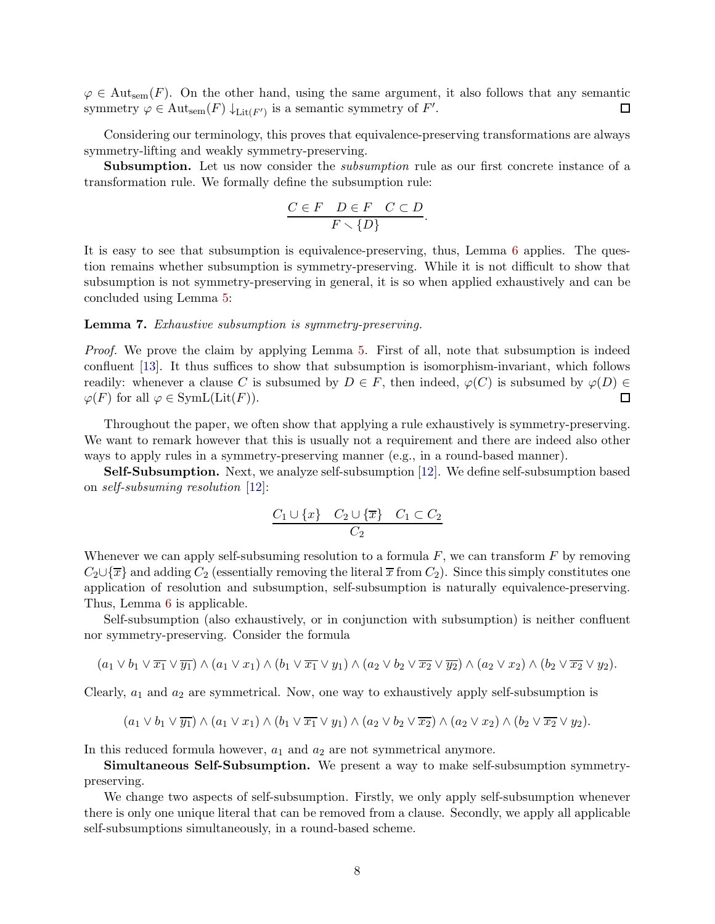$\varphi \in \text{Aut}_{sem}(F)$ . On the other hand, using the same argument, it also follows that any semantic symmetry  $\varphi \in \text{Aut}_{sem}(F) \downarrow_{\text{Lit}(F')}$  is a semantic symmetry of  $F'$ .  $\Box$ 

Considering our terminology, this proves that equivalence-preserving transformations are always symmetry-lifting and weakly symmetry-preserving.

Subsumption. Let us now consider the *subsumption* rule as our first concrete instance of a transformation rule. We formally define the subsumption rule:

$$
\frac{C \in F \quad D \in F \quad C \subset D}{F \smallsetminus \{D\}}.
$$

It is easy to see that subsumption is equivalence-preserving, thus, Lemma [6](#page-6-0) applies. The question remains whether subsumption is symmetry-preserving. While it is not difficult to show that subsumption is not symmetry-preserving in general, it is so when applied exhaustively and can be concluded using Lemma [5:](#page-6-1)

### Lemma 7. Exhaustive subsumption is symmetry-preserving.

Proof. We prove the claim by applying Lemma [5.](#page-6-1) First of all, note that subsumption is indeed confluent [13]. It thus suffices to show that subsumption is isomorphism-invariant, which follows readily: whenever a clause C is subsumed by  $D \in F$ , then indeed,  $\varphi(C)$  is subsumed by  $\varphi(D) \in$  $\varphi(F)$  for all  $\varphi \in \text{SymL}(\text{Lit}(F)).$  $\Box$ 

Throughout the paper, we often show that applying a rule exhaustively is symmetry-preserving. We want to remark however that this is usually not a requirement and there are indeed also other ways to apply rules in a symmetry-preserving manner (e.g., in a round-based manner).

Self-Subsumption. Next, we analyze self-subsumption [12]. We define self-subsumption based on self-subsuming resolution [12]:

$$
\frac{C_1 \cup \{x\} \quad C_2 \cup \{\overline{x}\} \quad C_1 \subset C_2}{C_2}
$$

Whenever we can apply self-subsuming resolution to a formula  $F$ , we can transform  $F$  by removing  $C_2 \cup \{\overline{x}\}\$  and adding  $C_2$  (essentially removing the literal  $\overline{x}$  from  $C_2$ ). Since this simply constitutes one application of resolution and subsumption, self-subsumption is naturally equivalence-preserving. Thus, Lemma [6](#page-6-0) is applicable.

Self-subsumption (also exhaustively, or in conjunction with subsumption) is neither confluent nor symmetry-preserving. Consider the formula

$$
(a_1 \vee b_1 \vee \overline{x_1} \vee \overline{y_1}) \wedge (a_1 \vee x_1) \wedge (b_1 \vee \overline{x_1} \vee y_1) \wedge (a_2 \vee b_2 \vee \overline{x_2} \vee \overline{y_2}) \wedge (a_2 \vee x_2) \wedge (b_2 \vee \overline{x_2} \vee y_2).
$$

Clearly,  $a_1$  and  $a_2$  are symmetrical. Now, one way to exhaustively apply self-subsumption is

$$
(a_1 \vee b_1 \vee \overline{y_1}) \wedge (a_1 \vee x_1) \wedge (b_1 \vee \overline{x_1} \vee y_1) \wedge (a_2 \vee b_2 \vee \overline{x_2}) \wedge (a_2 \vee x_2) \wedge (b_2 \vee \overline{x_2} \vee y_2).
$$

In this reduced formula however,  $a_1$  and  $a_2$  are not symmetrical anymore.

Simultaneous Self-Subsumption. We present a way to make self-subsumption symmetrypreserving.

We change two aspects of self-subsumption. Firstly, we only apply self-subsumption whenever there is only one unique literal that can be removed from a clause. Secondly, we apply all applicable self-subsumptions simultaneously, in a round-based scheme.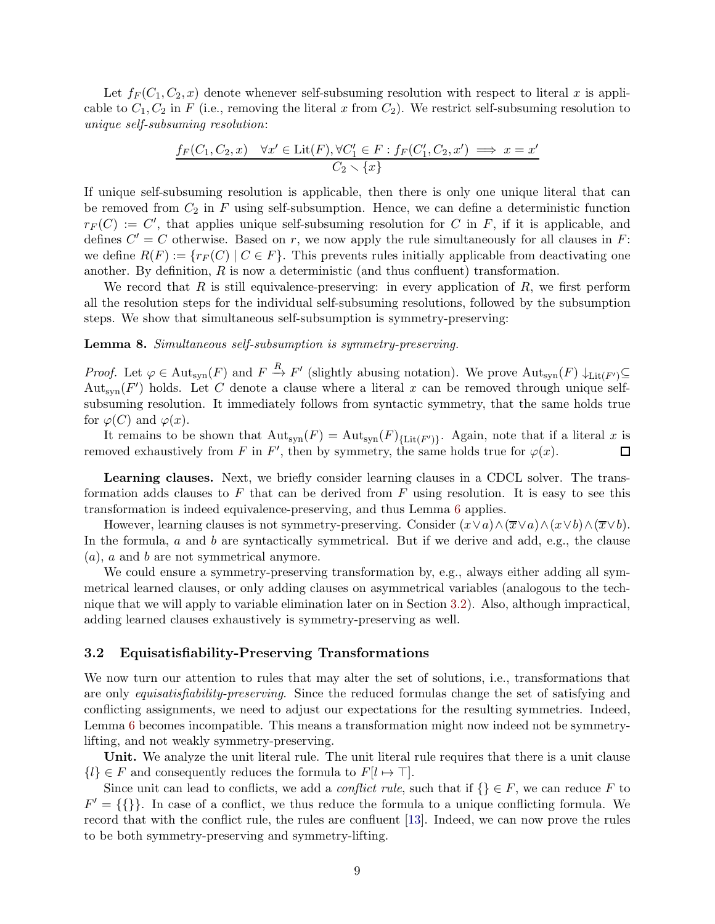Let  $f_F(C_1, C_2, x)$  denote whenever self-subsuming resolution with respect to literal x is applicable to  $C_1, C_2$  in F (i.e., removing the literal x from  $C_2$ ). We restrict self-subsuming resolution to unique self-subsuming resolution:

$$
\frac{f_F(C_1, C_2, x) \quad \forall x' \in \text{Lit}(F), \forall C'_1 \in F : f_F(C'_1, C_2, x') \implies x = x'}{C_2 \setminus \{x\}}
$$

If unique self-subsuming resolution is applicable, then there is only one unique literal that can be removed from  $C_2$  in  $F$  using self-subsumption. Hence, we can define a deterministic function  $r_F(C) := C'$ , that applies unique self-subsuming resolution for C in F, if it is applicable, and defines  $C' = C$  otherwise. Based on r, we now apply the rule simultaneously for all clauses in F: we define  $R(F) := \{r_F(C) | C \in F\}$ . This prevents rules initially applicable from deactivating one another. By definition,  $R$  is now a deterministic (and thus confluent) transformation.

We record that  $R$  is still equivalence-preserving: in every application of  $R$ , we first perform all the resolution steps for the individual self-subsuming resolutions, followed by the subsumption steps. We show that simultaneous self-subsumption is symmetry-preserving:

### Lemma 8. Simultaneous self-subsumption is symmetry-preserving.

*Proof.* Let  $\varphi \in \text{Aut}_{syn}(F)$  and  $F \stackrel{R}{\to} F'$  (slightly abusing notation). We prove  $\text{Aut}_{syn}(F) \downarrow_{\text{Lit}(F')} \subseteq$ Aut<sub>syn</sub>( $F'$ ) holds. Let C denote a clause where a literal x can be removed through unique selfsubsuming resolution. It immediately follows from syntactic symmetry, that the same holds true for  $\varphi(C)$  and  $\varphi(x)$ .

It remains to be shown that  ${\rm Aut}_{\rm syn}(F)={\rm Aut}_{\rm syn}(F)_{\{\rm Lit}(F')\}}$ . Again, note that if a literal x is removed exhaustively from F in F', then by symmetry, the same holds true for  $\varphi(x)$ .  $\Box$ 

Learning clauses. Next, we briefly consider learning clauses in a CDCL solver. The transformation adds clauses to  $F$  that can be derived from  $F$  using resolution. It is easy to see this transformation is indeed equivalence-preserving, and thus Lemma [6](#page-6-0) applies.

However, learning clauses is not symmetry-preserving. Consider  $(x \lor a) \land (\overline{x} \lor a) \land (x \lor b) \land (\overline{x} \lor b)$ . In the formula, a and b are syntactically symmetrical. But if we derive and add, e.g., the clause (a), a and b are not symmetrical anymore.

We could ensure a symmetry-preserving transformation by, e.g., always either adding all symmetrical learned clauses, or only adding clauses on asymmetrical variables (analogous to the technique that we will apply to variable elimination later on in Section [3.2\)](#page-8-0). Also, although impractical, adding learned clauses exhaustively is symmetry-preserving as well.

### <span id="page-8-0"></span>3.2 Equisatisfiability-Preserving Transformations

We now turn our attention to rules that may alter the set of solutions, i.e., transformations that are only equisatisfiability-preserving. Since the reduced formulas change the set of satisfying and conflicting assignments, we need to adjust our expectations for the resulting symmetries. Indeed, Lemma [6](#page-6-0) becomes incompatible. This means a transformation might now indeed not be symmetrylifting, and not weakly symmetry-preserving.

Unit. We analyze the unit literal rule. The unit literal rule requires that there is a unit clause  ${l} \in F$  and consequently reduces the formula to  $F[l \mapsto \top]$ .

Since unit can lead to conflicts, we add a *conflict rule*, such that if  $\{\}\in F$ , we can reduce F to  $F' = \{\{\}\}\.$  In case of a conflict, we thus reduce the formula to a unique conflicting formula. We record that with the conflict rule, the rules are confluent [13]. Indeed, we can now prove the rules to be both symmetry-preserving and symmetry-lifting.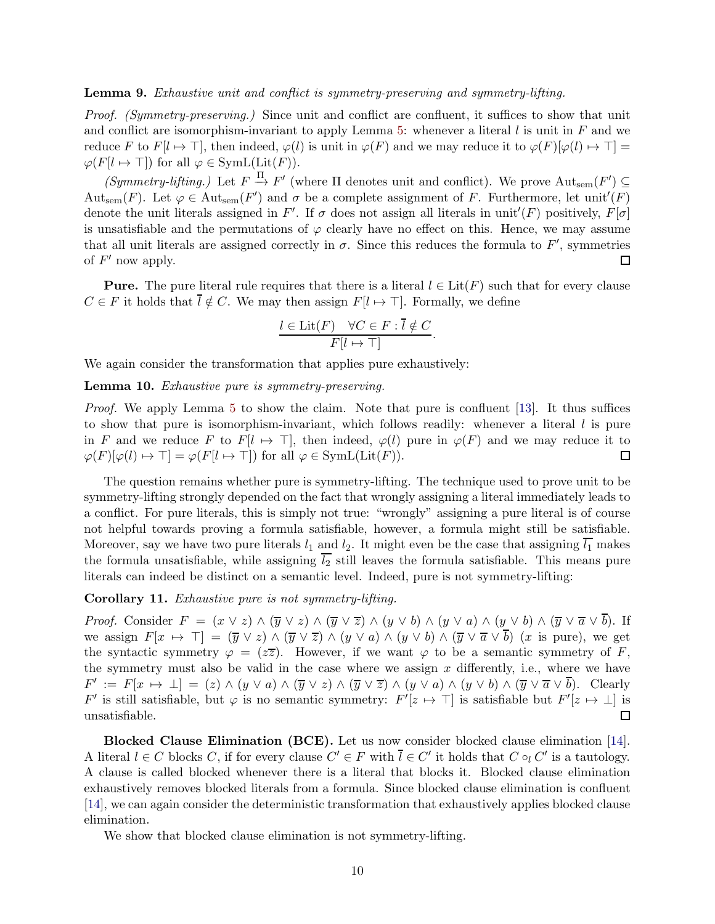#### Lemma 9. Exhaustive unit and conflict is symmetry-preserving and symmetry-lifting.

Proof. (Symmetry-preserving.) Since unit and conflict are confluent, it suffices to show that unit and conflict are isomorphism-invariant to apply Lemma [5:](#page-6-1) whenever a literal  $l$  is unit in  $F$  and we reduce F to  $F[l \mapsto \top]$ , then indeed,  $\varphi(l)$  is unit in  $\varphi(F)$  and we may reduce it to  $\varphi(F)[\varphi(l) \mapsto \top] =$  $\varphi(F[l \mapsto \top])$  for all  $\varphi \in \text{SymL}(\text{Lit}(F)).$ 

 $(Symmetry-lifting.)$  Let  $F \stackrel{\Pi}{\rightarrow} F'$  (where  $\Pi$  denotes unit and conflict). We prove  $Aut_{sem}(F') \subseteq$ Aut<sub>sem</sub> $(F)$ . Let  $\varphi \in Aut_{sem}(F')$  and  $\sigma$  be a complete assignment of F. Furthermore, let unit' $(F)$ denote the unit literals assigned in F'. If  $\sigma$  does not assign all literals in unit'(F) positively,  $F[\sigma]$ is unsatisfiable and the permutations of  $\varphi$  clearly have no effect on this. Hence, we may assume that all unit literals are assigned correctly in  $\sigma$ . Since this reduces the formula to  $F'$ , symmetries of  $F'$  now apply.  $\Box$ 

**Pure.** The pure literal rule requires that there is a literal  $l \in \text{Lit}(F)$  such that for every clause  $C \in F$  it holds that  $\overline{l} \notin C$ . We may then assign  $F[l \mapsto \top]$ . Formally, we define

$$
\frac{l \in \text{Lit}(F) \quad \forall C \in F : \overline{l} \notin C}{F[l \mapsto \top]}.
$$

We again consider the transformation that applies pure exhaustively:

Lemma 10. Exhaustive pure is symmetry-preserving.

*Proof.* We apply Lemma [5](#page-6-1) to show the claim. Note that pure is confluent [13]. It thus suffices to show that pure is isomorphism-invariant, which follows readily: whenever a literal  $l$  is pure in F and we reduce F to  $F[l \mapsto \top]$ , then indeed,  $\varphi(l)$  pure in  $\varphi(F)$  and we may reduce it to  $\varphi(F)[\varphi(l) \mapsto \top] = \varphi(F[l \mapsto \top])$  for all  $\varphi \in \text{SymL}(\text{Lit}(F)).$ □

The question remains whether pure is symmetry-lifting. The technique used to prove unit to be symmetry-lifting strongly depended on the fact that wrongly assigning a literal immediately leads to a conflict. For pure literals, this is simply not true: "wrongly" assigning a pure literal is of course not helpful towards proving a formula satisfiable, however, a formula might still be satisfiable. Moreover, say we have two pure literals  $l_1$  and  $l_2$ . It might even be the case that assigning  $\overline{l_1}$  makes the formula unsatisfiable, while assigning  $\overline{l_2}$  still leaves the formula satisfiable. This means pure literals can indeed be distinct on a semantic level. Indeed, pure is not symmetry-lifting:

<span id="page-9-0"></span>Corollary 11. Exhaustive pure is not symmetry-lifting.

*Proof.* Consider  $F = (x \vee z) \wedge (\overline{y} \vee z) \wedge (\overline{y} \vee \overline{z}) \wedge (y \vee b) \wedge (y \vee a) \wedge (y \vee b) \wedge (\overline{y} \vee \overline{a} \vee \overline{b}).$  If we assign  $F[x \mapsto \top] = (\overline{y} \vee z) \wedge (\overline{y} \vee \overline{z}) \wedge (y \vee a) \wedge (y \vee b) \wedge (\overline{y} \vee \overline{a} \vee \overline{b})$  (x is pure), we get the syntactic symmetry  $\varphi = (z\overline{z})$ . However, if we want  $\varphi$  to be a semantic symmetry of F, the symmetry must also be valid in the case where we assign  $x$  differently, i.e., where we have  $F' := F[x \mapsto \bot] = (z) \wedge (y \vee a) \wedge (\overline{y} \vee z) \wedge (\overline{y} \vee \overline{z}) \wedge (y \vee a) \wedge (y \vee b) \wedge (\overline{y} \vee \overline{a} \vee \overline{b}).$  Clearly  $F'$  is still satisfiable, but  $\varphi$  is no semantic symmetry:  $F'[z \mapsto \top]$  is satisfiable but  $F'[z \mapsto \bot]$  is unsatisfiable.  $\Box$ 

Blocked Clause Elimination (BCE). Let us now consider blocked clause elimination [14]. A literal  $l \in C$  blocks C, if for every clause  $C' \in F$  with  $\overline{l} \in C'$  it holds that  $C \circ_l C'$  is a tautology. A clause is called blocked whenever there is a literal that blocks it. Blocked clause elimination exhaustively removes blocked literals from a formula. Since blocked clause elimination is confluent [14], we can again consider the deterministic transformation that exhaustively applies blocked clause elimination.

We show that blocked clause elimination is not symmetry-lifting.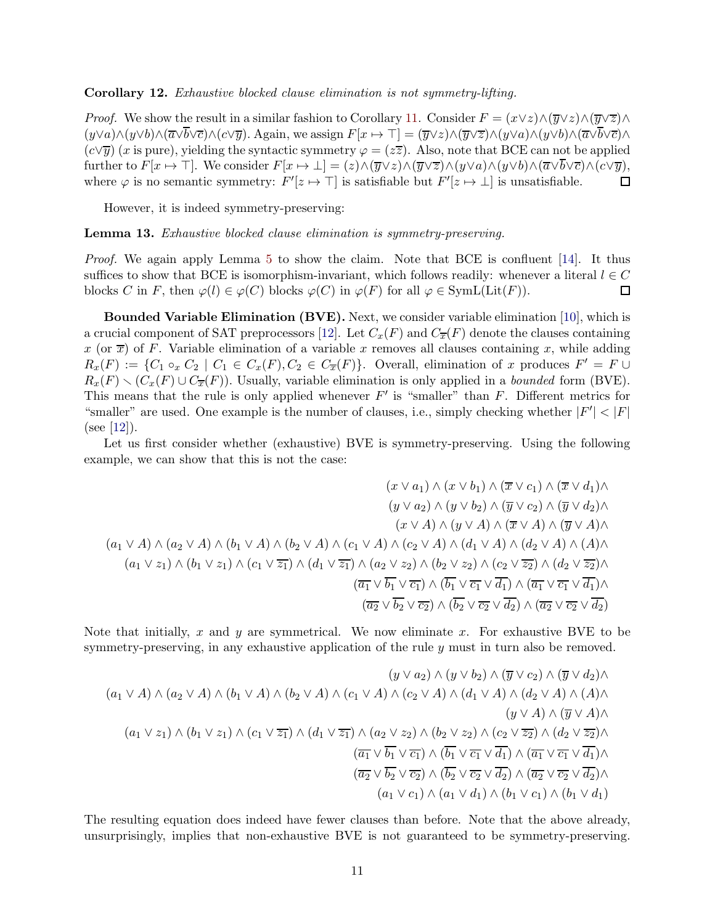#### Corollary 12. Exhaustive blocked clause elimination is not symmetry-lifting.

*Proof.* We show the result in a similar fashion to Corollary [11.](#page-9-0) Consider  $F = (x \lor z) \land (\overline{y} \lor z) \land (\overline{y} \lor \overline{z}) \land (\overline{y} \lor \overline{z})$  $(y\vee a)\wedge(y\vee b)\wedge(\overline{a}\vee\overline{b}\vee\overline{c})\wedge(c\vee\overline{y})$ . Again, we assign  $F[x \mapsto \top] = (\overline{y}\vee z)\wedge(\overline{y}\vee\overline{z})\wedge(y\vee a)\wedge(y\vee b)\wedge(\overline{a}\vee\overline{b}\vee\overline{c})\wedge(y\vee\overline{b})$  $(c\vee \overline{\eta})$  (x is pure), yielding the syntactic symmetry  $\varphi = (z\overline{z})$ . Also, note that BCE can not be applied further to  $F[x \mapsto \top]$ . We consider  $F[x \mapsto \bot] = (z) \wedge (\overline{y} \vee z) \wedge (\overline{y} \vee \overline{z}) \wedge (y \vee a) \wedge (y \vee b) \wedge (\overline{a} \vee \overline{b} \vee \overline{c}) \wedge (c \vee \overline{y}),$ where  $\varphi$  is no semantic symmetry:  $F'[z \mapsto \top]$  is satisfiable but  $F'[z \mapsto \bot]$  is unsatisfiable. □

However, it is indeed symmetry-preserving:

Lemma 13. Exhaustive blocked clause elimination is symmetry-preserving.

Proof. We again apply Lemma [5](#page-6-1) to show the claim. Note that BCE is confluent [14]. It thus suffices to show that BCE is isomorphism-invariant, which follows readily: whenever a literal  $l \in C$ blocks C in F, then  $\varphi(l) \in \varphi(C)$  blocks  $\varphi(C)$  in  $\varphi(F)$  for all  $\varphi \in \text{SymL}(\text{Lit}(F)).$ 口

Bounded Variable Elimination (BVE). Next, we consider variable elimination [10], which is a crucial component of SAT preprocessors [12]. Let  $C_x(F)$  and  $C_{\overline{x}}(F)$  denote the clauses containing x (or  $\overline{x}$ ) of F. Variable elimination of a variable x removes all clauses containing x, while adding  $R_x(F) := \{C_1 \circ_x C_2 \mid C_1 \in C_x(F), C_2 \in C_{\overline{x}}(F)\}\.$  Overall, elimination of x produces  $F' = F \cup$  $R_x(F) \setminus (C_x(F) \cup C_{\overline{x}}(F))$ . Usually, variable elimination is only applied in a bounded form (BVE). This means that the rule is only applied whenever  $F'$  is "smaller" than  $F$ . Different metrics for "smaller" are used. One example is the number of clauses, i.e., simply checking whether  $|F'| < |F|$  $(see [12]).$ 

Let us first consider whether (exhaustive) BVE is symmetry-preserving. Using the following example, we can show that this is not the case:

$$
(x \lor a_1) \land (x \lor b_1) \land (\overline{x} \lor c_1) \land (\overline{x} \lor d_1) \land (y \lor a_2) \land (y \lor b_2) \land (\overline{y} \lor c_2) \land (\overline{y} \lor d_2) \land (x \lor d_1) \land (y \lor d_2) \land (y \lor d_2) \land (y \lor d_2) \land (y \lor d_2) \land (y \lor d_2) \land (y \lor d_2) \land (y \lor d_2) \land (y \lor d_2) \land (y \lor d_2) \land (y \lor d_2) \land (y \lor d_2) \land (y \lor d_2) \land (y \lor d_2) \land (y \lor d_2) \land (y \lor d_2) \land (y \lor d_2) \land (y \lor d_2) \land (y \lor d_2) \land (y \lor d_2) \land (y \lor d_2) \land (y \lor d_2) \land (y \lor d_2) \land (y \lor d_2) \land (y \lor d_2) \land (y \lor d_2) \land (y \lor d_2) \land (y \lor d_2) \land (y \lor d_2) \land (y \lor d_2) \land (y \lor d_2) \land (y \lor d_2) \land (y \lor d_2) \land (y \lor d_2) \land (y \lor d_2) \land (y \lor d_2) \land (y \lor d_2) \land (y \lor d_2) \land (y \lor d_2) \land (y \lor d_2) \land (y \lor d_2) \land (y \lor d_2) \land (y \lor d_2) \land (y \lor d_2) \land (y \lor d_2) \land (y \lor d_2) \land (y \lor d_2) \land (y \lor d_2) \land (y \lor d_2) \land (y \lor d_2) \land (y \lor d_2) \land (y \lor d_2) \land (y \lor d_2) \land (y \lor d_2) \land (y \lor d_2) \land (y \lor d_2) \land (y \lor d_2) \land (y \lor d_2) \land (y \lor d_2) \land (y \lor d_2) \land (y \lor d_2) \land (y \lor d_2) \land (y \lor d_2) \land (y \lor d_2) \land (y \lor d_2) \land (y \lor d_2) \land (y \lor d_
$$

Note that initially, x and y are symmetrical. We now eliminate x. For exhaustive BVE to be symmetry-preserving, in any exhaustive application of the rule  $y$  must in turn also be removed.

(y ∨ a2) ∧ (y ∨ b2) ∧ (y ∨ c2) ∧ (y ∨ d2)∧ (a<sup>1</sup> ∨ A) ∧ (a<sup>2</sup> ∨ A) ∧ (b<sup>1</sup> ∨ A) ∧ (b<sup>2</sup> ∨ A) ∧ (c<sup>1</sup> ∨ A) ∧ (c<sup>2</sup> ∨ A) ∧ (d<sup>1</sup> ∨ A) ∧ (d<sup>2</sup> ∨ A) ∧ (A)∧ (y ∨ A) ∧ (y ∨ A)∧ (a<sup>1</sup> ∨ z1) ∧ (b<sup>1</sup> ∨ z1) ∧ (c<sup>1</sup> ∨ z1) ∧ (d<sup>1</sup> ∨ z1) ∧ (a<sup>2</sup> ∨ z2) ∧ (b<sup>2</sup> ∨ z2) ∧ (c<sup>2</sup> ∨ z2) ∧ (d<sup>2</sup> ∨ z2)∧ (a<sup>1</sup> ∨ b<sup>1</sup> ∨ c1) ∧ (b<sup>1</sup> ∨ c<sup>1</sup> ∨ d1) ∧ (a<sup>1</sup> ∨ c<sup>1</sup> ∨ d1)∧ (a<sup>2</sup> ∨ b<sup>2</sup> ∨ c2) ∧ (b<sup>2</sup> ∨ c<sup>2</sup> ∨ d2) ∧ (a<sup>2</sup> ∨ c<sup>2</sup> ∨ d2)∧ (a<sup>1</sup> ∨ c1) ∧ (a<sup>1</sup> ∨ d1) ∧ (b<sup>1</sup> ∨ c1) ∧ (b<sup>1</sup> ∨ d1)

The resulting equation does indeed have fewer clauses than before. Note that the above already, unsurprisingly, implies that non-exhaustive BVE is not guaranteed to be symmetry-preserving.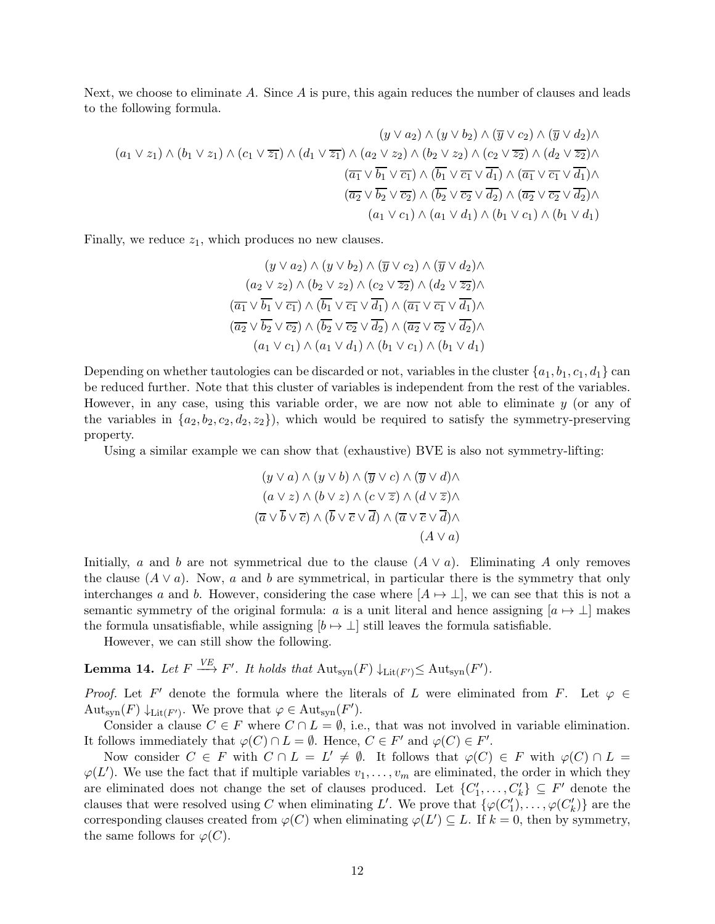Next, we choose to eliminate A. Since A is pure, this again reduces the number of clauses and leads to the following formula.

$$
(y \lor a_2) \land (y \lor b_2) \land (\overline{y} \lor c_2) \land (\overline{y} \lor d_2) \land (a_1 \lor z_1) \land (b_1 \lor z_1) \land (c_1 \lor \overline{z_1}) \land (d_1 \lor \overline{z_1}) \land (a_2 \lor z_2) \land (b_2 \lor z_2) \land (c_2 \lor \overline{z_2}) \land (d_2 \lor \overline{z_2}) \land (a_2 \lor \overline{z_2}) \land (a_1 \lor \overline{b_1} \lor \overline{c_1}) \land (\overline{b_1} \lor \overline{c_1} \lor \overline{d_1}) \land (\overline{a_1} \lor \overline{c_1} \lor \overline{d_1}) \land (a_1 \lor \overline{c_1} \lor \overline{d_2}) \land (a_1 \lor c_1) \land (a_1 \lor d_1) \land (b_1 \lor c_1) \land (b_1 \lor d_1)
$$

Finally, we reduce  $z_1$ , which produces no new clauses.

$$
(y \lor a_2) \land (y \lor b_2) \land (\overline{y} \lor c_2) \land (\overline{y} \lor d_2) \land
$$

$$
(a_2 \lor z_2) \land (b_2 \lor z_2) \land (c_2 \lor \overline{z_2}) \land (d_2 \lor \overline{z_2}) \land
$$

$$
(\overline{a_1} \lor \overline{b_1} \lor \overline{c_1}) \land (\overline{b_1} \lor \overline{c_1} \lor \overline{d_1}) \land (\overline{a_1} \lor \overline{c_1} \lor \overline{d_1}) \land
$$

$$
(\overline{a_2} \lor \overline{b_2} \lor \overline{c_2}) \land (\overline{b_2} \lor \overline{c_2} \lor \overline{d_2}) \land (\overline{a_2} \lor \overline{c_2} \lor \overline{d_2}) \land
$$

$$
(a_1 \lor c_1) \land (a_1 \lor d_1) \land (b_1 \lor c_1) \land (b_1 \lor d_1)
$$

Depending on whether tautologies can be discarded or not, variables in the cluster  $\{a_1, b_1, c_1, d_1\}$  can be reduced further. Note that this cluster of variables is independent from the rest of the variables. However, in any case, using this variable order, we are now not able to eliminate  $y$  (or any of the variables in  $\{a_2, b_2, c_2, d_2, z_2\}$ , which would be required to satisfy the symmetry-preserving property.

Using a similar example we can show that (exhaustive) BVE is also not symmetry-lifting:

$$
(y \lor a) \land (y \lor b) \land (\overline{y} \lor c) \land (\overline{y} \lor d) \land (a \lor z) \land (b \lor z) \land (c \lor \overline{z}) \land (d \lor \overline{z}) \land (\overline{a} \lor \overline{b} \lor \overline{c}) \land (\overline{b} \lor \overline{c} \lor \overline{d}) \land (\overline{a} \lor \overline{c} \lor \overline{d}) \land (A \lor a)
$$

Initially, a and b are not symmetrical due to the clause  $(A \vee a)$ . Eliminating A only removes the clause  $(A \vee a)$ . Now, a and b are symmetrical, in particular there is the symmetry that only interchanges a and b. However, considering the case where  $[A \mapsto \perp]$ , we can see that this is not a semantic symmetry of the original formula: a is a unit literal and hence assigning  $[a \mapsto \perp]$  makes the formula unsatisfiable, while assigning  $[b \mapsto \perp]$  still leaves the formula satisfiable.

However, we can still show the following.

<span id="page-11-0"></span>**Lemma 14.** Let  $F \xrightarrow{VE} F'$ . It holds that  $\text{Aut}_{syn}(F) \downarrow_{\text{Lit}(F')} \leq \text{Aut}_{syn}(F')$ .

*Proof.* Let F' denote the formula where the literals of L were eliminated from F. Let  $\varphi \in$ Aut<sub>syn</sub> $(F) \downarrow$ <sub>Lit</sub><sub> $(F')$ </sub>. We prove that  $\varphi \in$  Aut<sub>syn</sub> $(F')$ .

Consider a clause  $C \in F$  where  $C \cap L = \emptyset$ , i.e., that was not involved in variable elimination. It follows immediately that  $\varphi(C) \cap L = \emptyset$ . Hence,  $C \in F'$  and  $\varphi(C) \in F'$ .

Now consider  $C \in F$  with  $C \cap L = L' \neq \emptyset$ . It follows that  $\varphi(C) \in F$  with  $\varphi(C) \cap L =$  $\varphi(L')$ . We use the fact that if multiple variables  $v_1, \ldots, v_m$  are eliminated, the order in which they are eliminated does not change the set of clauses produced. Let  $\{C'_1, \ldots, C'_k\} \subseteq F'$  denote the clauses that were resolved using C when eliminating L'. We prove that  $\{\varphi(C'_1), \ldots, \varphi(C'_k)\}\$ are the corresponding clauses created from  $\varphi(C)$  when eliminating  $\varphi(L') \subseteq L$ . If  $k = 0$ , then by symmetry, the same follows for  $\varphi(C)$ .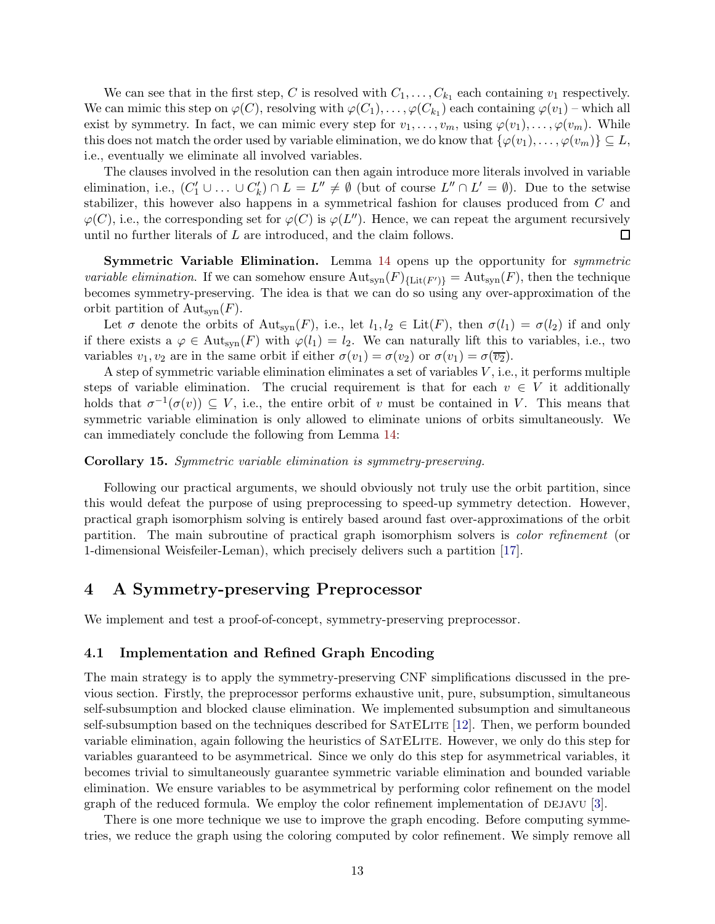We can see that in the first step, C is resolved with  $C_1, \ldots, C_{k_1}$  each containing  $v_1$  respectively. We can mimic this step on  $\varphi(C)$ , resolving with  $\varphi(C_1), \ldots, \varphi(C_{k_1})$  each containing  $\varphi(v_1)$  – which all exist by symmetry. In fact, we can mimic every step for  $v_1, \ldots, v_m$ , using  $\varphi(v_1), \ldots, \varphi(v_m)$ . While this does not match the order used by variable elimination, we do know that  $\{\varphi(v_1), \ldots, \varphi(v_m)\} \subseteq L$ , i.e., eventually we eliminate all involved variables.

The clauses involved in the resolution can then again introduce more literals involved in variable elimination, i.e.,  $(C'_1 \cup \ldots \cup C'_k) \cap L = L'' \neq \emptyset$  (but of course  $L'' \cap L' = \emptyset$ ). Due to the setwise stabilizer, this however also happens in a symmetrical fashion for clauses produced from C and  $\varphi(C)$ , i.e., the corresponding set for  $\varphi(C)$  is  $\varphi(L'')$ . Hence, we can repeat the argument recursively until no further literals of L are introduced, and the claim follows.  $\Box$ 

Symmetric Variable Elimination. Lemma [14](#page-11-0) opens up the opportunity for symmetric *variable elimination*. If we can somehow ensure  $\text{Aut}_{syn}(F)_{\{\text{Lit}(F')\}} = \text{Aut}_{syn}(F)$ , then the technique becomes symmetry-preserving. The idea is that we can do so using any over-approximation of the orbit partition of  $\text{Aut}_{\text{syn}}(F)$ .

Let  $\sigma$  denote the orbits of  $\text{Aut}_{syn}(F)$ , i.e., let  $l_1, l_2 \in \text{Lit}(F)$ , then  $\sigma(l_1) = \sigma(l_2)$  if and only if there exists a  $\varphi \in \text{Aut}_{syn}(F)$  with  $\varphi(l_1) = l_2$ . We can naturally lift this to variables, i.e., two variables  $v_1, v_2$  are in the same orbit if either  $\sigma(v_1) = \sigma(v_2)$  or  $\sigma(v_1) = \sigma(\overline{v_2})$ .

A step of symmetric variable elimination eliminates a set of variables V , i.e., it performs multiple steps of variable elimination. The crucial requirement is that for each  $v \in V$  it additionally holds that  $\sigma^{-1}(\sigma(v)) \subseteq V$ , i.e., the entire orbit of v must be contained in V. This means that symmetric variable elimination is only allowed to eliminate unions of orbits simultaneously. We can immediately conclude the following from Lemma [14:](#page-11-0)

### Corollary 15. Symmetric variable elimination is symmetry-preserving.

Following our practical arguments, we should obviously not truly use the orbit partition, since this would defeat the purpose of using preprocessing to speed-up symmetry detection. However, practical graph isomorphism solving is entirely based around fast over-approximations of the orbit partition. The main subroutine of practical graph isomorphism solvers is color refinement (or 1-dimensional Weisfeiler-Leman), which precisely delivers such a partition [\[17](#page-17-0)].

# 4 A Symmetry-preserving Preprocessor

We implement and test a proof-of-concept, symmetry-preserving preprocessor.

### <span id="page-12-0"></span>4.1 Implementation and Refined Graph Encoding

The main strategy is to apply the symmetry-preserving CNF simplifications discussed in the previous section. Firstly, the preprocessor performs exhaustive unit, pure, subsumption, simultaneous self-subsumption and blocked clause elimination. We implemented subsumption and simultaneous self-subsumption based on the techniques described for SatELite [12]. Then, we perform bounded variable elimination, again following the heuristics of SatELite. However, we only do this step for variables guaranteed to be asymmetrical. Since we only do this step for asymmetrical variables, it becomes trivial to simultaneously guarantee symmetric variable elimination and bounded variable elimination. We ensure variables to be asymmetrical by performing color refinement on the model graph of the reduced formula. We employ the color refinement implementation of DEJAVU  $[3]$ .

There is one more technique we use to improve the graph encoding. Before computing symmetries, we reduce the graph using the coloring computed by color refinement. We simply remove all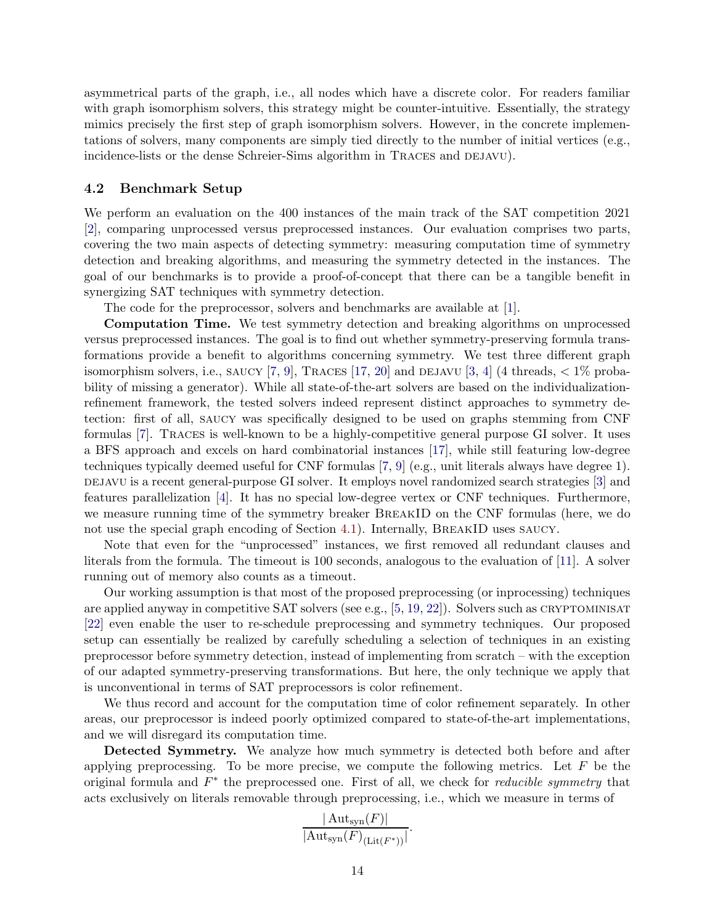asymmetrical parts of the graph, i.e., all nodes which have a discrete color. For readers familiar with graph isomorphism solvers, this strategy might be counter-intuitive. Essentially, the strategy mimics precisely the first step of graph isomorphism solvers. However, in the concrete implementations of solvers, many components are simply tied directly to the number of initial vertices (e.g., incidence-lists or the dense Schreier-Sims algorithm in TRACES and DEJAVU).

## <span id="page-13-0"></span>4.2 Benchmark Setup

We perform an evaluation on the 400 instances of the main track of the SAT competition 2021 [\[2](#page-16-0)], comparing unprocessed versus preprocessed instances. Our evaluation comprises two parts, covering the two main aspects of detecting symmetry: measuring computation time of symmetry detection and breaking algorithms, and measuring the symmetry detected in the instances. The goal of our benchmarks is to provide a proof-of-concept that there can be a tangible benefit in synergizing SAT techniques with symmetry detection.

The code for the preprocessor, solvers and benchmarks are available at [\[1\]](#page-16-1).

Computation Time. We test symmetry detection and breaking algorithms on unprocessed versus preprocessed instances. The goal is to find out whether symmetry-preserving formula transformations provide a benefit to algorithms concerning symmetry. We test three different graph isomorphism solvers, i.e., SAUCY [7, 9], TRACES [\[17](#page-17-0), 20] and DEJAVU [3, 4] (4 threads,  $\lt 1\%$  probability of missing a generator). While all state-of-the-art solvers are based on the individualizationrefinement framework, the tested solvers indeed represent distinct approaches to symmetry detection: first of all, saucy was specifically designed to be used on graphs stemming from CNF formulas [7]. Traces is well-known to be a highly-competitive general purpose GI solver. It uses a BFS approach and excels on hard combinatorial instances [\[17](#page-17-0)], while still featuring low-degree techniques typically deemed useful for CNF formulas [7, 9] (e.g., unit literals always have degree 1). degacy is a recent general-purpose GI solver. It employs novel randomized search strategies [3] and features parallelization [4]. It has no special low-degree vertex or CNF techniques. Furthermore, we measure running time of the symmetry breaker BREAKID on the CNF formulas (here, we do not use the special graph encoding of Section [4.1\)](#page-12-0). Internally, BreakID uses saucy.

Note that even for the "unprocessed" instances, we first removed all redundant clauses and literals from the formula. The timeout is 100 seconds, analogous to the evaluation of [11]. A solver running out of memory also counts as a timeout.

Our working assumption is that most of the proposed preprocessing (or inprocessing) techniques are applied anyway in competitive SAT solvers (see e.g.,  $[5, 19, 22]$ ). Solvers such as CRYPTOMINISAT [22] even enable the user to re-schedule preprocessing and symmetry techniques. Our proposed setup can essentially be realized by carefully scheduling a selection of techniques in an existing preprocessor before symmetry detection, instead of implementing from scratch – with the exception of our adapted symmetry-preserving transformations. But here, the only technique we apply that is unconventional in terms of SAT preprocessors is color refinement.

We thus record and account for the computation time of color refinement separately. In other areas, our preprocessor is indeed poorly optimized compared to state-of-the-art implementations, and we will disregard its computation time.

Detected Symmetry. We analyze how much symmetry is detected both before and after applying preprocessing. To be more precise, we compute the following metrics. Let  $F$  be the original formula and  $F^*$  the preprocessed one. First of all, we check for *reducible symmetry* that acts exclusively on literals removable through preprocessing, i.e., which we measure in terms of

$$
\frac{|\operatorname{Aut}_{\operatorname{syn}}(F)|}{|\operatorname{Aut}_{\operatorname{syn}}(F)_{(\operatorname{Lit}(F^*))}|}.
$$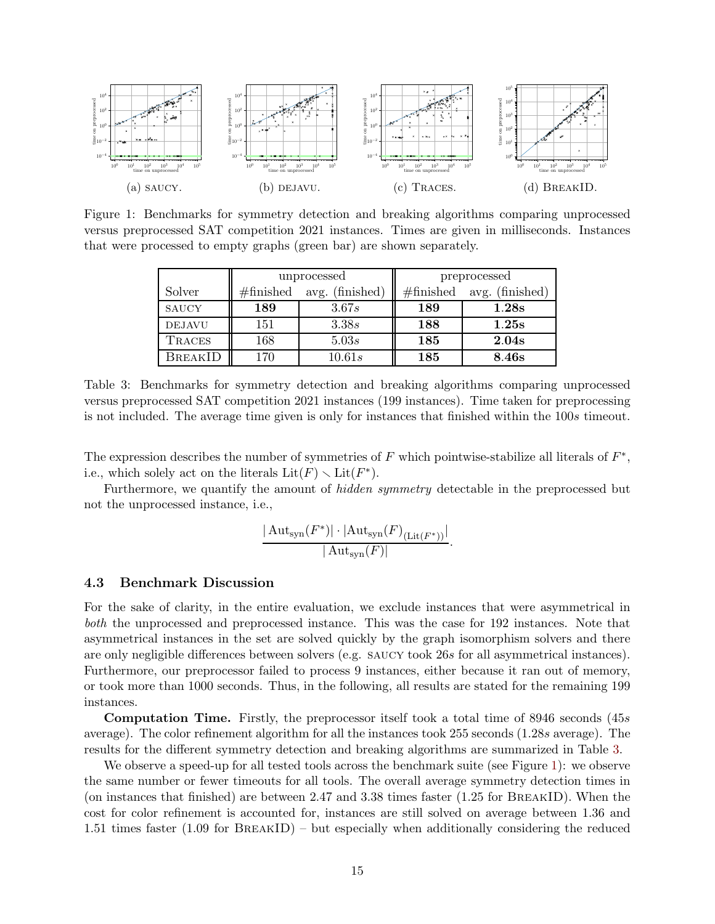<span id="page-14-1"></span>

<span id="page-14-0"></span>Figure 1: Benchmarks for symmetry detection and breaking algorithms comparing unprocessed versus preprocessed SAT competition 2021 instances. Times are given in milliseconds. Instances that were processed to empty graphs (green bar) are shown separately.

|                |                     | unprocessed     | preprocessed        |                 |  |
|----------------|---------------------|-----------------|---------------------|-----------------|--|
| Solver         | $\#\text{finished}$ | avg. (finished) | $\#\text{finished}$ | avg. (finished) |  |
| <b>SAUCY</b>   | 189                 | 3.67s           | 189                 | 1.28s           |  |
| <b>DEJAVU</b>  | 151                 | 3.38s           | 188                 | 1.25s           |  |
| <b>TRACES</b>  | 168                 | 5.03s           | 185                 | 2.04s           |  |
| <b>BREAKID</b> | 170                 | 10.61s          | 185                 | 8.46s           |  |

Table 3: Benchmarks for symmetry detection and breaking algorithms comparing unprocessed versus preprocessed SAT competition 2021 instances (199 instances). Time taken for preprocessing is not included. The average time given is only for instances that finished within the 100s timeout.

The expression describes the number of symmetries of  $F$  which pointwise-stabilize all literals of  $F^*$ , i.e., which solely act on the literals  $\text{Lit}(F) \setminus \text{Lit}(F^*)$ .

Furthermore, we quantify the amount of hidden symmetry detectable in the preprocessed but not the unprocessed instance, i.e.,

$$
\frac{|\operatorname{Aut}_{\operatorname{syn}}(F^*)|\cdot |\operatorname{Aut}_{\operatorname{syn}}(F)_{(\operatorname{Lit}(F^*))}|}{|\operatorname{Aut}_{\operatorname{syn}}(F)|}.
$$

### 4.3 Benchmark Discussion

For the sake of clarity, in the entire evaluation, we exclude instances that were asymmetrical in both the unprocessed and preprocessed instance. This was the case for 192 instances. Note that asymmetrical instances in the set are solved quickly by the graph isomorphism solvers and there are only negligible differences between solvers (e.g. saucy took 26s for all asymmetrical instances). Furthermore, our preprocessor failed to process 9 instances, either because it ran out of memory, or took more than 1000 seconds. Thus, in the following, all results are stated for the remaining 199 instances.

Computation Time. Firstly, the preprocessor itself took a total time of 8946 seconds (45s average). The color refinement algorithm for all the instances took 255 seconds (1.28s average). The results for the different symmetry detection and breaking algorithms are summarized in Table [3.](#page-14-0)

We observe a speed-up for all tested tools across the benchmark suite (see Figure [1\)](#page-14-1): we observe the same number or fewer timeouts for all tools. The overall average symmetry detection times in (on instances that finished) are between 2.47 and 3.38 times faster (1.25 for BreakID). When the cost for color refinement is accounted for, instances are still solved on average between 1.36 and 1.51 times faster (1.09 for BreakID) – but especially when additionally considering the reduced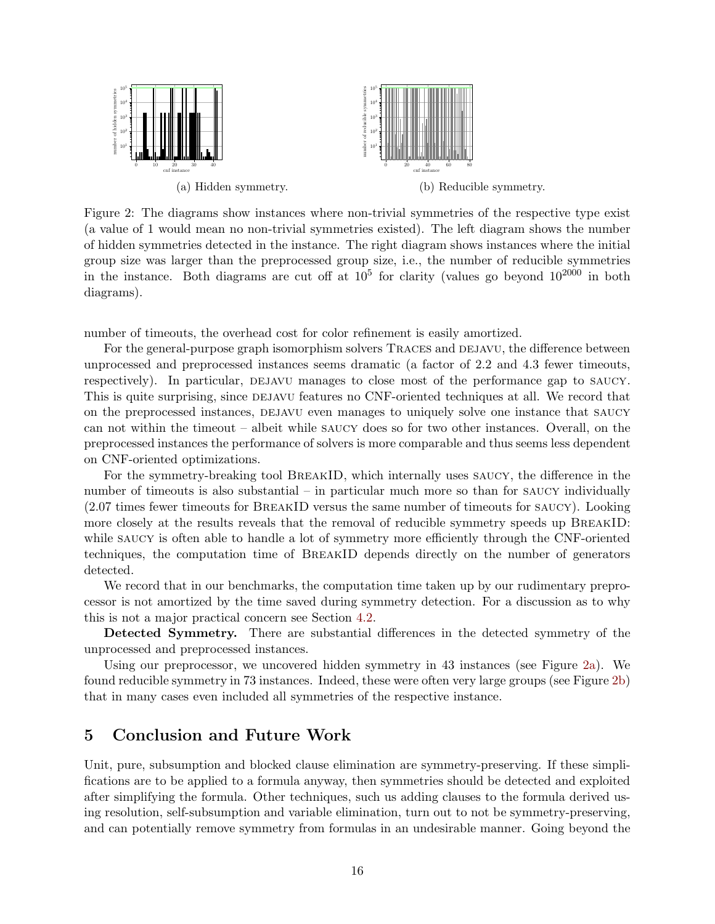<span id="page-15-0"></span>

Figure 2: The diagrams show instances where non-trivial symmetries of the respective type exist (a value of 1 would mean no non-trivial symmetries existed). The left diagram shows the number of hidden symmetries detected in the instance. The right diagram shows instances where the initial group size was larger than the preprocessed group size, i.e., the number of reducible symmetries in the instance. Both diagrams are cut off at  $10^5$  for clarity (values go beyond  $10^{2000}$  in both diagrams).

number of timeouts, the overhead cost for color refinement is easily amortized.

For the general-purpose graph isomorphism solvers TRACES and DEJAVU, the difference between unprocessed and preprocessed instances seems dramatic (a factor of 2.2 and 4.3 fewer timeouts, respectively). In particular, DEJAVU manages to close most of the performance gap to SAUCY. This is quite surprising, since DEJAVU features no CNF-oriented techniques at all. We record that on the preprocessed instances, DEJAVU even manages to uniquely solve one instance that SAUCY can not within the timeout – albeit while saucy does so for two other instances. Overall, on the preprocessed instances the performance of solvers is more comparable and thus seems less dependent on CNF-oriented optimizations.

For the symmetry-breaking tool BreakID, which internally uses saucy, the difference in the number of timeouts is also substantial – in particular much more so than for saucy individually (2.07 times fewer timeouts for BreakID versus the same number of timeouts for saucy). Looking more closely at the results reveals that the removal of reducible symmetry speeds up BREAKID: while SAUCY is often able to handle a lot of symmetry more efficiently through the CNF-oriented techniques, the computation time of BreakID depends directly on the number of generators detected.

We record that in our benchmarks, the computation time taken up by our rudimentary preprocessor is not amortized by the time saved during symmetry detection. For a discussion as to why this is not a major practical concern see Section [4.2.](#page-13-0)

Detected Symmetry. There are substantial differences in the detected symmetry of the unprocessed and preprocessed instances.

Using our preprocessor, we uncovered hidden symmetry in 43 instances (see Figure [2a\)](#page-15-0). We found reducible symmetry in 73 instances. Indeed, these were often very large groups (see Figure [2b\)](#page-15-0) that in many cases even included all symmetries of the respective instance.

# 5 Conclusion and Future Work

Unit, pure, subsumption and blocked clause elimination are symmetry-preserving. If these simplifications are to be applied to a formula anyway, then symmetries should be detected and exploited after simplifying the formula. Other techniques, such us adding clauses to the formula derived using resolution, self-subsumption and variable elimination, turn out to not be symmetry-preserving, and can potentially remove symmetry from formulas in an undesirable manner. Going beyond the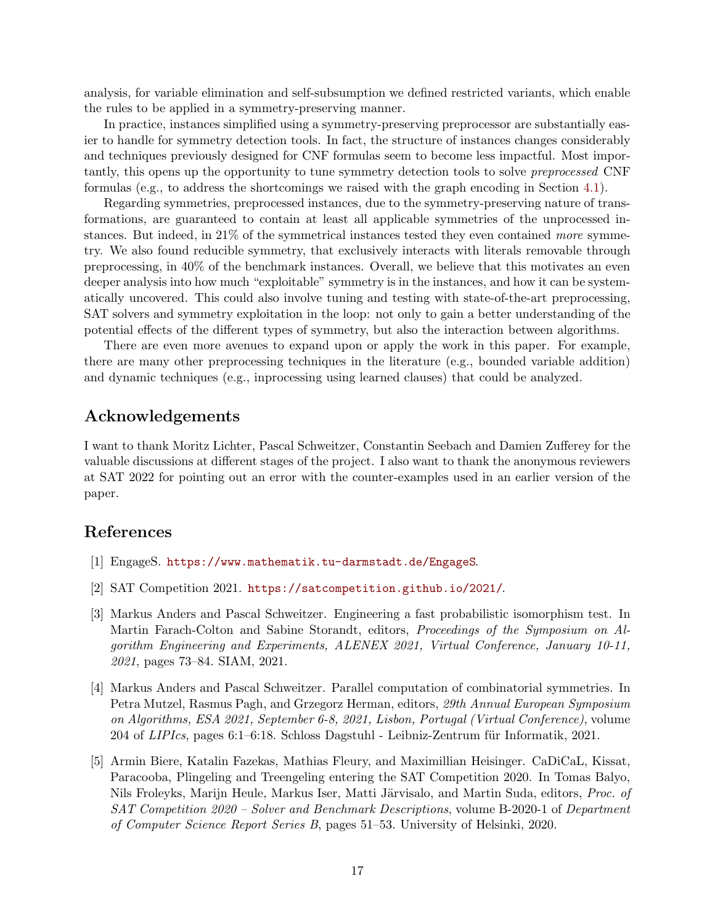analysis, for variable elimination and self-subsumption we defined restricted variants, which enable the rules to be applied in a symmetry-preserving manner.

In practice, instances simplified using a symmetry-preserving preprocessor are substantially easier to handle for symmetry detection tools. In fact, the structure of instances changes considerably and techniques previously designed for CNF formulas seem to become less impactful. Most importantly, this opens up the opportunity to tune symmetry detection tools to solve preprocessed CNF formulas (e.g., to address the shortcomings we raised with the graph encoding in Section [4.1\)](#page-12-0).

Regarding symmetries, preprocessed instances, due to the symmetry-preserving nature of transformations, are guaranteed to contain at least all applicable symmetries of the unprocessed instances. But indeed, in 21% of the symmetrical instances tested they even contained more symmetry. We also found reducible symmetry, that exclusively interacts with literals removable through preprocessing, in 40% of the benchmark instances. Overall, we believe that this motivates an even deeper analysis into how much "exploitable" symmetry is in the instances, and how it can be systematically uncovered. This could also involve tuning and testing with state-of-the-art preprocessing, SAT solvers and symmetry exploitation in the loop: not only to gain a better understanding of the potential effects of the different types of symmetry, but also the interaction between algorithms.

There are even more avenues to expand upon or apply the work in this paper. For example, there are many other preprocessing techniques in the literature (e.g., bounded variable addition) and dynamic techniques (e.g., inprocessing using learned clauses) that could be analyzed.

# Acknowledgements

I want to thank Moritz Lichter, Pascal Schweitzer, Constantin Seebach and Damien Zufferey for the valuable discussions at different stages of the project. I also want to thank the anonymous reviewers at SAT 2022 for pointing out an error with the counter-examples used in an earlier version of the paper.

# References

- <span id="page-16-1"></span>[1] EngageS. <https://www.mathematik.tu-darmstadt.de/EngageS>.
- <span id="page-16-0"></span>[2] SAT Competition 2021. <https://satcompetition.github.io/2021/>.
- [3] Markus Anders and Pascal Schweitzer. Engineering a fast probabilistic isomorphism test. In Martin Farach-Colton and Sabine Storandt, editors, Proceedings of the Symposium on Algorithm Engineering and Experiments, ALENEX 2021, Virtual Conference, January 10-11, 2021, pages 73–84. SIAM, 2021.
- [4] Markus Anders and Pascal Schweitzer. Parallel computation of combinatorial symmetries. In Petra Mutzel, Rasmus Pagh, and Grzegorz Herman, editors, 29th Annual European Symposium on Algorithms, ESA 2021, September 6-8, 2021, Lisbon, Portugal (Virtual Conference), volume 204 of LIPIcs, pages 6:1–6:18. Schloss Dagstuhl - Leibniz-Zentrum für Informatik, 2021.
- <span id="page-16-2"></span>[5] Armin Biere, Katalin Fazekas, Mathias Fleury, and Maximillian Heisinger. CaDiCaL, Kissat, Paracooba, Plingeling and Treengeling entering the SAT Competition 2020. In Tomas Balyo, Nils Froleyks, Marijn Heule, Markus Iser, Matti Järvisalo, and Martin Suda, editors, Proc. of SAT Competition 2020 – Solver and Benchmark Descriptions, volume B-2020-1 of Department of Computer Science Report Series B, pages 51–53. University of Helsinki, 2020.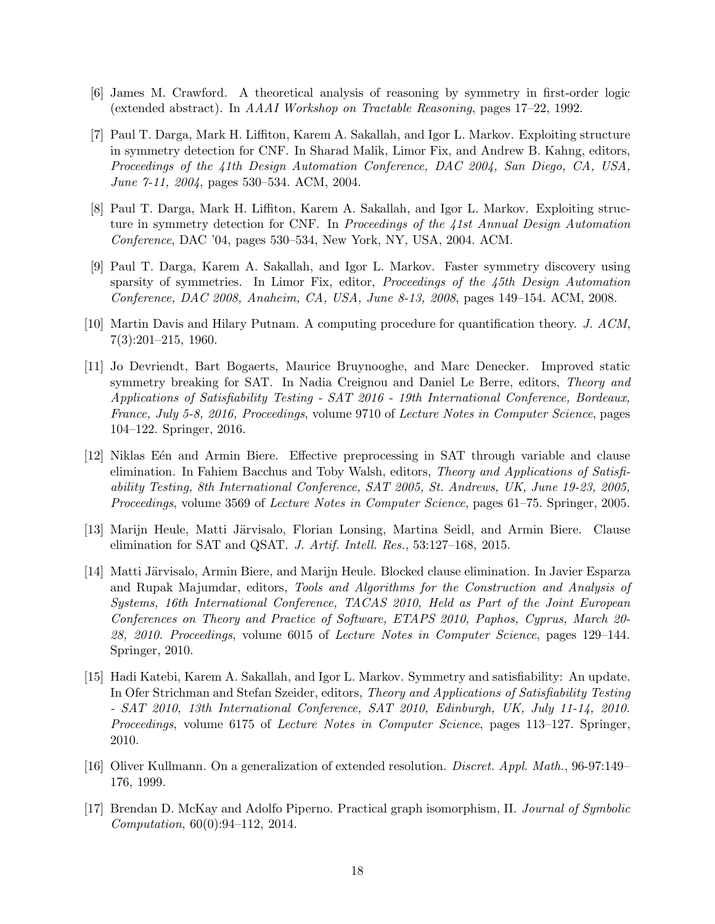- <span id="page-17-1"></span>[6] James M. Crawford. A theoretical analysis of reasoning by symmetry in first-order logic (extended abstract). In AAAI Workshop on Tractable Reasoning, pages 17–22, 1992.
- [7] Paul T. Darga, Mark H. Liffiton, Karem A. Sakallah, and Igor L. Markov. Exploiting structure in symmetry detection for CNF. In Sharad Malik, Limor Fix, and Andrew B. Kahng, editors, Proceedings of the 41th Design Automation Conference, DAC 2004, San Diego, CA, USA, June 7-11, 2004, pages 530–534. ACM, 2004.
- <span id="page-17-2"></span>[8] Paul T. Darga, Mark H. Liffiton, Karem A. Sakallah, and Igor L. Markov. Exploiting structure in symmetry detection for CNF. In Proceedings of the 41st Annual Design Automation Conference, DAC '04, pages 530–534, New York, NY, USA, 2004. ACM.
- [9] Paul T. Darga, Karem A. Sakallah, and Igor L. Markov. Faster symmetry discovery using sparsity of symmetries. In Limor Fix, editor, *Proceedings of the 45th Design Automation* Conference, DAC 2008, Anaheim, CA, USA, June 8-13, 2008, pages 149–154. ACM, 2008.
- [10] Martin Davis and Hilary Putnam. A computing procedure for quantification theory. J. ACM, 7(3):201–215, 1960.
- [11] Jo Devriendt, Bart Bogaerts, Maurice Bruynooghe, and Marc Denecker. Improved static symmetry breaking for SAT. In Nadia Creignou and Daniel Le Berre, editors, Theory and Applications of Satisfiability Testing - SAT 2016 - 19th International Conference, Bordeaux, France, July 5-8, 2016, Proceedings, volume 9710 of Lecture Notes in Computer Science, pages 104–122. Springer, 2016.
- [12] Niklas E $\acute{e}$ n and Armin Biere. Effective preprocessing in SAT through variable and clause elimination. In Fahiem Bacchus and Toby Walsh, editors, Theory and Applications of Satisfiability Testing, 8th International Conference, SAT 2005, St. Andrews, UK, June 19-23, 2005, Proceedings, volume 3569 of Lecture Notes in Computer Science, pages 61–75. Springer, 2005.
- [13] Marijn Heule, Matti Järvisalo, Florian Lonsing, Martina Seidl, and Armin Biere. Clause elimination for SAT and QSAT. J. Artif. Intell. Res., 53:127–168, 2015.
- [14] Matti Järvisalo, Armin Biere, and Marijn Heule. Blocked clause elimination. In Javier Esparza and Rupak Majumdar, editors, Tools and Algorithms for the Construction and Analysis of Systems, 16th International Conference, TACAS 2010, Held as Part of the Joint European Conferences on Theory and Practice of Software, ETAPS 2010, Paphos, Cyprus, March 20- 28, 2010. Proceedings, volume 6015 of Lecture Notes in Computer Science, pages 129–144. Springer, 2010.
- [15] Hadi Katebi, Karem A. Sakallah, and Igor L. Markov. Symmetry and satisfiability: An update. In Ofer Strichman and Stefan Szeider, editors, Theory and Applications of Satisfiability Testing - SAT 2010, 13th International Conference, SAT 2010, Edinburgh, UK, July 11-14, 2010. Proceedings, volume 6175 of Lecture Notes in Computer Science, pages 113–127. Springer, 2010.
- [16] Oliver Kullmann. On a generalization of extended resolution. Discret. Appl. Math., 96-97:149– 176, 1999.
- <span id="page-17-0"></span>[17] Brendan D. McKay and Adolfo Piperno. Practical graph isomorphism, II. Journal of Symbolic Computation, 60(0):94–112, 2014.